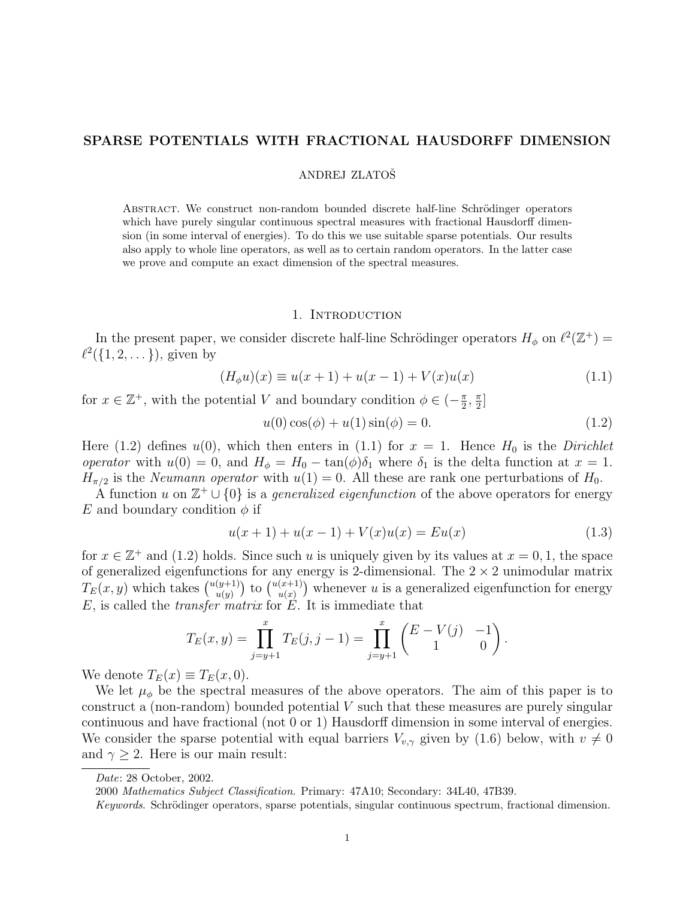## SPARSE POTENTIALS WITH FRACTIONAL HAUSDORFF DIMENSION

## ANDREJ ZLATOŠ

ABSTRACT. We construct non-random bounded discrete half-line Schrödinger operators which have purely singular continuous spectral measures with fractional Hausdorff dimension (in some interval of energies). To do this we use suitable sparse potentials. Our results also apply to whole line operators, as well as to certain random operators. In the latter case we prove and compute an exact dimension of the spectral measures.

## 1. Introduction

In the present paper, we consider discrete half-line Schrödinger operators  $H_{\phi}$  on  $\ell^2(\mathbb{Z}^+)$  $\ell^2({1, 2, \ldots})$ , given by

$$
(H_{\phi}u)(x) \equiv u(x+1) + u(x-1) + V(x)u(x)
$$
\n(1.1)

for  $x \in \mathbb{Z}^+$ , with the potential V and boundary condition  $\phi \in \left(-\frac{\pi}{2}\right)$  $\frac{\pi}{2}$ ,  $\frac{\pi}{2}$  $\frac{\pi}{2}$ ]

$$
u(0)\cos(\phi) + u(1)\sin(\phi) = 0.
$$
\n(1.2)

Here (1.2) defines  $u(0)$ , which then enters in (1.1) for  $x = 1$ . Hence  $H_0$  is the Dirichlet operator with  $u(0) = 0$ , and  $H_{\phi} = H_0 - \tan(\phi)\delta_1$  where  $\delta_1$  is the delta function at  $x = 1$ .  $H_{\pi/2}$  is the *Neumann operator* with  $u(1) = 0$ . All these are rank one perturbations of  $H_0$ .

A function u on  $\mathbb{Z}^+ \cup \{0\}$  is a *generalized eigenfunction* of the above operators for energy E and boundary condition  $\phi$  if

$$
u(x+1) + u(x-1) + V(x)u(x) = Eu(x)
$$
\n(1.3)

for  $x \in \mathbb{Z}^+$  and (1.2) holds. Since such u is uniquely given by its values at  $x = 0, 1$ , the space of generalized eigenfunctions for any energy is 2-dimensional. The  $2 \times 2$  unimodular matrix or generalized eigenfunction<br>  $T_E(x, y)$  which takes  $\binom{u(y+1)}{u(y)}$ Etions for any e<br>  $\begin{pmatrix} (y+1) \\ u(y) \end{pmatrix}$  to  $\begin{pmatrix} u(x+1) \\ u(x) \end{pmatrix}$  $\binom{x+1}{u(x)}$  whenever u is a generalized eigenfunction for energy  $E$ , is called the *transfer matrix* for  $E$ . It is immediate that

$$
T_E(x,y) = \prod_{j=y+1}^x T_E(j,j-1) = \prod_{j=y+1}^x \begin{pmatrix} E - V(j) & -1 \ 1 & 0 \end{pmatrix}.
$$

We denote  $T_E(x) \equiv T_E(x, 0)$ .

We let  $\mu_{\phi}$  be the spectral measures of the above operators. The aim of this paper is to construct a (non-random) bounded potential  $V$  such that these measures are purely singular continuous and have fractional (not 0 or 1) Hausdorff dimension in some interval of energies. We consider the sparse potential with equal barriers  $V_{v,\gamma}$  given by (1.6) below, with  $v \neq 0$ and  $\gamma \geq 2$ . Here is our main result:

Date: 28 October, 2002.

<sup>2000</sup> Mathematics Subject Classification. Primary: 47A10; Secondary: 34L40, 47B39.

Keywords. Schrödinger operators, sparse potentials, singular continuous spectrum, fractional dimension.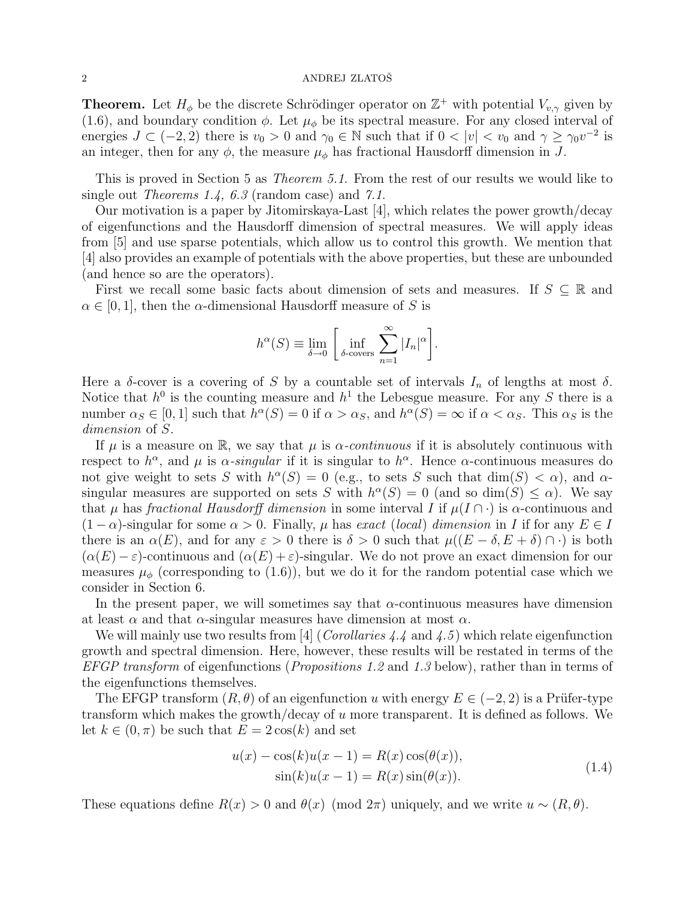**Theorem.** Let  $H_{\phi}$  be the discrete Schrödinger operator on  $\mathbb{Z}^{+}$  with potential  $V_{v,\gamma}$  given by (1.6), and boundary condition  $\phi$ . Let  $\mu_{\phi}$  be its spectral measure. For any closed interval of energies  $J \subset (-2,2)$  there is  $v_0 > 0$  and  $\gamma_0 \in \mathbb{N}$  such that if  $0 < |v| < v_0$  and  $\gamma \geq \gamma_0 v^{-2}$  is an integer, then for any  $\phi$ , the measure  $\mu_{\phi}$  has fractional Hausdorff dimension in J.

This is proved in Section 5 as Theorem 5.1. From the rest of our results we would like to single out *Theorems 1.4, 6.3* (random case) and 7.1.

Our motivation is a paper by Jitomirskaya-Last [4], which relates the power growth/decay of eigenfunctions and the Hausdorff dimension of spectral measures. We will apply ideas from [5] and use sparse potentials, which allow us to control this growth. We mention that [4] also provides an example of potentials with the above properties, but these are unbounded (and hence so are the operators).

First we recall some basic facts about dimension of sets and measures. If  $S \subseteq \mathbb{R}$  and  $\alpha \in [0, 1]$ , then the  $\alpha$ -dimensional Hausdorff measure of S is

$$
h^{\alpha}(S) \equiv \lim_{\delta \to 0} \left[ \inf_{\delta \text{- covers}} \sum_{n=1}^{\infty} |I_n|^{\alpha} \right].
$$

Here a  $\delta$ -cover is a covering of S by a countable set of intervals  $I_n$  of lengths at most  $\delta$ . Notice that  $h^0$  is the counting measure and  $h^1$  the Lebesgue measure. For any S there is a number  $\alpha_S \in [0,1]$  such that  $h^{\alpha}(S) = 0$  if  $\alpha > \alpha_S$ , and  $h^{\alpha}(S) = \infty$  if  $\alpha < \alpha_S$ . This  $\alpha_S$  is the dimension of S.

If  $\mu$  is a measure on R, we say that  $\mu$  is  $\alpha$ -continuous if it is absolutely continuous with respect to  $h^{\alpha}$ , and  $\mu$  is  $\alpha$ -singular if it is singular to  $h^{\alpha}$ . Hence  $\alpha$ -continuous measures do not give weight to sets S with  $h^{\alpha}(S) = 0$  (e.g., to sets S such that  $\dim(S) < \alpha$ ), and  $\alpha$ singular measures are supported on sets S with  $h^{\alpha}(S) = 0$  (and so dim(S)  $\leq \alpha$ ). We say that  $\mu$  has fractional Hausdorff dimension in some interval I if  $\mu(I \cap \cdot)$  is  $\alpha$ -continuous and  $(1 - \alpha)$ -singular for some  $\alpha > 0$ . Finally,  $\mu$  has exact (local) dimension in I if for any  $E \in I$ there is an  $\alpha(E)$ , and for any  $\varepsilon > 0$  there is  $\delta > 0$  such that  $\mu((E - \delta, E + \delta) \cap \cdot)$  is both  $(\alpha(E) - \varepsilon)$ -continuous and  $(\alpha(E) + \varepsilon)$ -singular. We do not prove an exact dimension for our measures  $\mu_{\phi}$  (corresponding to (1.6)), but we do it for the random potential case which we consider in Section 6.

In the present paper, we will sometimes say that  $\alpha$ -continuous measures have dimension at least  $\alpha$  and that  $\alpha$ -singular measures have dimension at most  $\alpha$ .

We will mainly use two results from [4] (*Corollaries 4.4* and 4.5) which relate eigenfunction growth and spectral dimension. Here, however, these results will be restated in terms of the EFGP transform of eigenfunctions (*Propositions 1.2* and 1.3 below), rather than in terms of the eigenfunctions themselves.

The EFGP transform  $(R, \theta)$  of an eigenfunction u with energy  $E \in (-2, 2)$  is a Prüfer-type transform which makes the growth/decay of u more transparent. It is defined as follows. We let  $k \in (0, \pi)$  be such that  $E = 2 \cos(k)$  and set

$$
u(x) - \cos(k)u(x-1) = R(x)\cos(\theta(x)),
$$
  
sin(k)u(x-1) = R(x)sin(\theta(x)). (1.4)

These equations define  $R(x) > 0$  and  $\theta(x) \pmod{2\pi}$  uniquely, and we write  $u \sim (R, \theta)$ .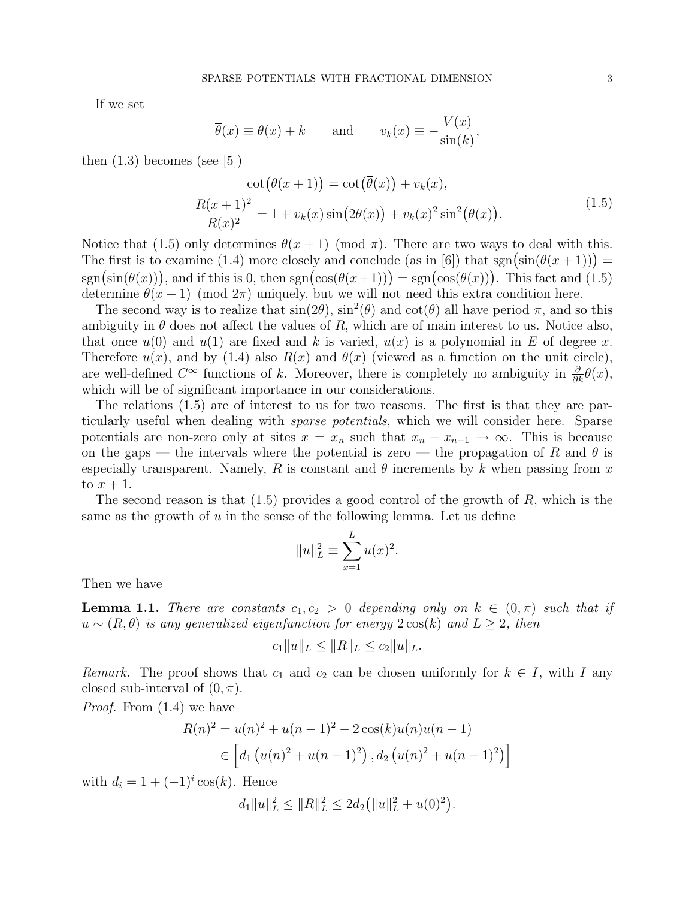If we set

$$
\overline{\theta}(x) \equiv \theta(x) + k
$$
 and  $v_k(x) \equiv -\frac{V(x)}{\sin(k)},$ 

then  $(1.3)$  becomes (see [5])

$$
\cot(\theta(x+1)) = \cot(\overline{\theta}(x)) + v_k(x),
$$
  

$$
\frac{R(x+1)^2}{R(x)^2} = 1 + v_k(x)\sin(2\overline{\theta}(x)) + v_k(x)^2\sin^2(\overline{\theta}(x)).
$$
 (1.5)

Notice that (1.5) only determines  $\theta(x+1) \pmod{\pi}$ . There are two ways to deal with this. Notice that (1.5) only determines  $\theta(x+1)$  (mod  $\pi$ ). There are two ways to deal with this.<br>The first is to examine (1.4) more closely and conclude (as in [6]) that sgn(sin( $\theta(x+1)$ )) = The first is to examine (1.4) more closely and conclude (as in [0]) that sgn(sin( $\overline{\theta}(x)$ )) = sgn( $\cos(\overline{\theta}(x))$ ), and if this is 0, then sgn( $\cos(\theta(x+1))$ ) = sgn( $\cos(\overline{\theta}(x))$ ). This fact and (1.5) determine  $\theta(x+1) \pmod{2\pi}$  uniquely, but we will not need this extra condition here.

The second way is to realize that  $sin(2\theta)$ ,  $sin^2(\theta)$  and  $cot(\theta)$  all have period  $\pi$ , and so this ambiguity in  $\theta$  does not affect the values of R, which are of main interest to us. Notice also, that once  $u(0)$  and  $u(1)$  are fixed and k is varied,  $u(x)$  is a polynomial in E of degree x. Therefore  $u(x)$ , and by (1.4) also  $R(x)$  and  $\theta(x)$  (viewed as a function on the unit circle), are well-defined  $C^{\infty}$  functions of k. Moreover, there is completely no ambiguity in  $\frac{\partial}{\partial k}\theta(x)$ , which will be of significant importance in our considerations.

The relations (1.5) are of interest to us for two reasons. The first is that they are particularly useful when dealing with sparse potentials, which we will consider here. Sparse potentials are non-zero only at sites  $x = x_n$  such that  $x_n - x_{n-1} \to \infty$ . This is because on the gaps — the intervals where the potential is zero — the propagation of R and  $\theta$  is especially transparent. Namely, R is constant and  $\theta$  increments by k when passing from x to  $x + 1$ .

The second reason is that  $(1.5)$  provides a good control of the growth of R, which is the same as the growth of  $u$  in the sense of the following lemma. Let us define

$$
||u||_L^2 \equiv \sum_{x=1}^L u(x)^2.
$$

Then we have

**Lemma 1.1.** There are constants  $c_1, c_2 > 0$  depending only on  $k \in (0, \pi)$  such that if  $u \sim (R, \theta)$  is any generalized eigenfunction for energy  $2\cos(k)$  and  $L \geq 2$ , then

$$
c_1||u||_L \leq ||R||_L \leq c_2||u||_L.
$$

Remark. The proof shows that  $c_1$  and  $c_2$  can be chosen uniformly for  $k \in I$ , with I any closed sub-interval of  $(0, \pi)$ .

Proof. From (1.4) we have

$$
R(n)^{2} = u(n)^{2} + u(n-1)^{2} - 2\cos(k)u(n)u(n-1)
$$
  
\n
$$
\in \left[d_{1}(u(n)^{2} + u(n-1)^{2}), d_{2}(u(n)^{2} + u(n-1)^{2})\right]
$$

with  $d_i = 1 + (-1)^i \cos(k)$ . Hence

$$
d_1||u||_L^2 \le ||R||_L^2 \le 2d_2(||u||_L^2 + u(0)^2).
$$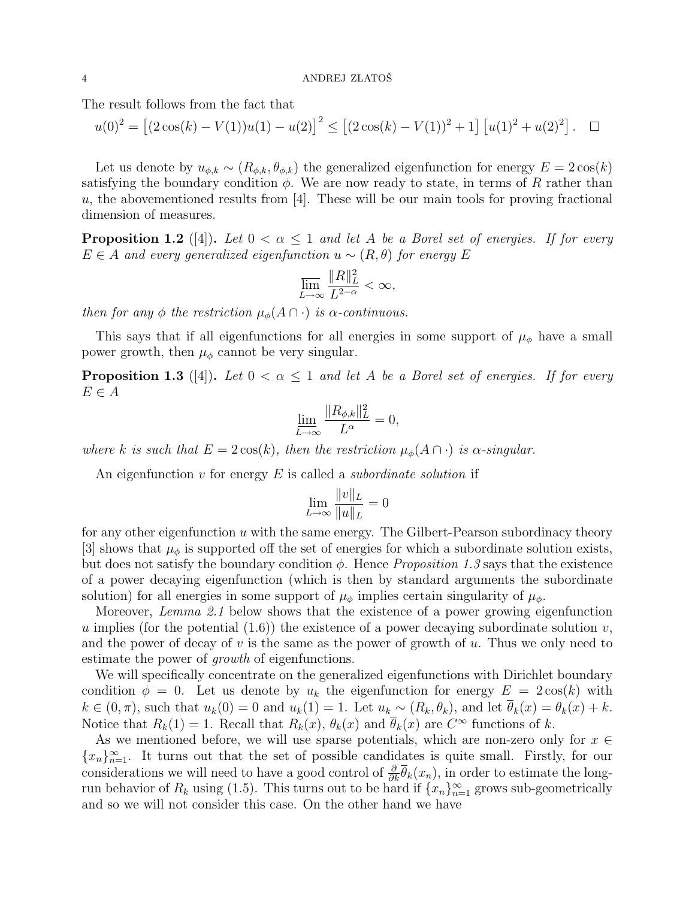The result follows from the fact that

$$
u(0)^{2} = [(2\cos(k) - V(1))u(1) - u(2)]^{2} \le [(2\cos(k) - V(1))^{2} + 1] [u(1)^{2} + u(2)^{2}]. \square
$$

Let us denote by  $u_{\phi,k} \sim (R_{\phi,k}, \theta_{\phi,k})$  the generalized eigenfunction for energy  $E = 2 \cos(k)$ satisfying the boundary condition  $\phi$ . We are now ready to state, in terms of R rather than  $u$ , the abovementioned results from [4]. These will be our main tools for proving fractional dimension of measures.

**Proposition 1.2** ([4]). Let  $0 < \alpha \leq 1$  and let A be a Borel set of energies. If for every  $E \in A$  and every generalized eigenfunction  $u \sim (R, \theta)$  for energy E

$$
\varlimsup_{L\to\infty}\frac{\|R\|_L^2}{L^{2-\alpha}}<\infty,
$$

then for any  $\phi$  the restriction  $\mu_{\phi}(A \cap \cdot)$  is  $\alpha$ -continuous.

This says that if all eigenfunctions for all energies in some support of  $\mu_{\phi}$  have a small power growth, then  $\mu_{\phi}$  cannot be very singular.

**Proposition 1.3** ([4]). Let  $0 < \alpha \leq 1$  and let A be a Borel set of energies. If for every  $E \in A$ 

$$
\lim_{L\to\infty}\frac{\|R_{\phi,k}\|_L^2}{L^\alpha}=0,
$$

where k is such that  $E = 2\cos(k)$ , then the restriction  $\mu_{\phi}(A \cap \cdot)$  is  $\alpha$ -singular.

An eigenfunction  $v$  for energy  $E$  is called a *subordinate solution* if

$$
\lim_{L \to \infty} \frac{\|v\|_L}{\|u\|_L} = 0
$$

for any other eigenfunction u with the same energy. The Gilbert-Pearson subordinacy theory [3] shows that  $\mu_{\phi}$  is supported off the set of energies for which a subordinate solution exists, but does not satisfy the boundary condition  $\phi$ . Hence *Proposition 1.3* says that the existence of a power decaying eigenfunction (which is then by standard arguments the subordinate solution) for all energies in some support of  $\mu_{\phi}$  implies certain singularity of  $\mu_{\phi}$ .

Moreover, Lemma 2.1 below shows that the existence of a power growing eigenfunction u implies (for the potential  $(1.6)$ ) the existence of a power decaying subordinate solution v, and the power of decay of v is the same as the power of growth of u. Thus we only need to estimate the power of *growth* of eigenfunctions.

We will specifically concentrate on the generalized eigenfunctions with Dirichlet boundary condition  $\phi = 0$ . Let us denote by  $u_k$  the eigenfunction for energy  $E = 2\cos(k)$  with  $k \in (0, \pi)$ , such that  $u_k(0) = 0$  and  $u_k(1) = 1$ . Let  $u_k \sim (R_k, \theta_k)$ , and let  $\overline{\theta}_k(x) = \theta_k(x) + k$ . Notice that  $R_k(1) = 1$ . Recall that  $R_k(x)$ ,  $\theta_k(x)$  and  $\overline{\theta}_k(x)$  are  $C^{\infty}$  functions of k.

As we mentioned before, we will use sparse potentials, which are non-zero only for  $x \in$  ${x_n}_{n=1}^{\infty}$ . It turns out that the set of possible candidates is quite small. Firstly, for our considerations we will need to have a good control of  $\frac{\partial}{\partial k} \overline{\theta}_k(x_n)$ , in order to estimate the longrun behavior of  $R_k$  using (1.5). This turns out to be hard if  $\{x_n\}_{n=1}^{\infty}$  grows sub-geometrically and so we will not consider this case. On the other hand we have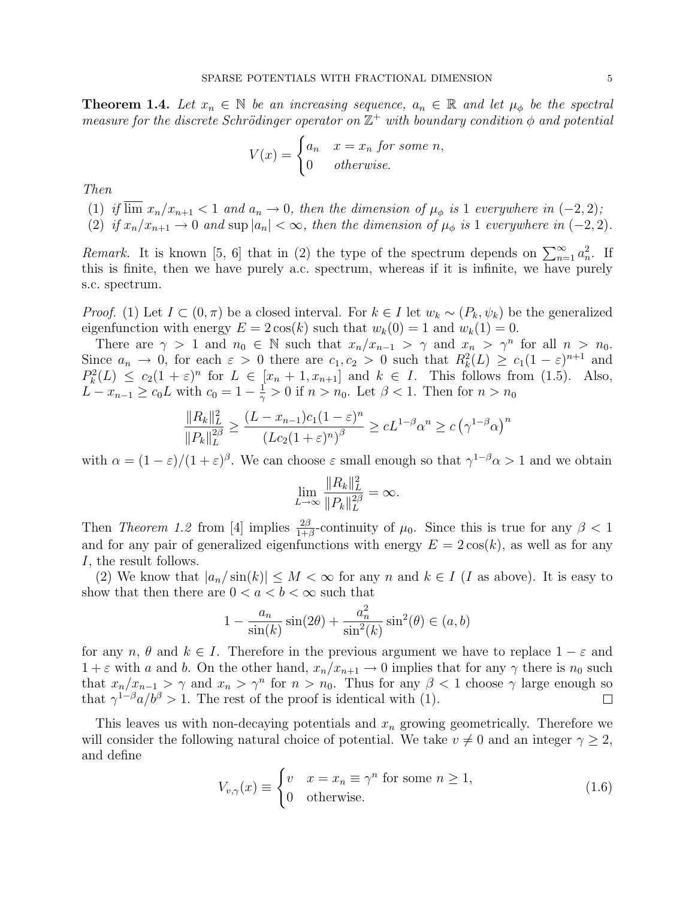**Theorem 1.4.** Let  $x_n \in \mathbb{N}$  be an increasing sequence,  $a_n \in \mathbb{R}$  and let  $\mu_{\phi}$  be the spectral measure for the discrete Schrödinger operator on  $\mathbb{Z}^+$  with boundary condition  $\phi$  and potential

$$
V(x) = \begin{cases} a_n & x = x_n \text{ for some } n, \\ 0 & otherwise. \end{cases}
$$

Then

(1) if  $\overline{\lim}_{n \to \infty} x_n/x_{n+1} < 1$  and  $a_n \to 0$ , then the dimension of  $\mu_{\phi}$  is 1 everywhere in  $(-2, 2)$ ;

(2) if  $x_n/x_{n+1} \to 0$  and sup  $|a_n| < \infty$ , then the dimension of  $\mu_{\phi}$  is 1 everywhere in (-2, 2).

Remark. It is known [5, 6] that in (2) the type of the spectrum depends on  $\sum_{n=1}^{\infty} a_n^2$ . If this is finite, then we have purely a.c. spectrum, whereas if it is infinite, we have purely s.c. spectrum.

*Proof.* (1) Let  $I \subset (0, \pi)$  be a closed interval. For  $k \in I$  let  $w_k \sim (P_k, \psi_k)$  be the generalized eigenfunction with energy  $E = 2 \cos(k)$  such that  $w_k(0) = 1$  and  $w_k(1) = 0$ .

There are  $\gamma > 1$  and  $n_0 \in \mathbb{N}$  such that  $x_n/x_{n-1} > \gamma$  and  $x_n > \gamma^n$  for all  $n > n_0$ . Since  $a_n \to 0$ , for each  $\varepsilon > 0$  there are  $c_1, c_2 > 0$  such that  $R_k^2(L) \ge c_1(1-\varepsilon)^{n+1}$  and  $P_k^2(L) \le c_2(1+\varepsilon)^n$  for  $L \in [x_n+1, x_{n+1}]$  and  $k \in I$ . This follows from (1.5). Also,  $L - x_{n-1} \geq c_0 L$  with  $c_0 = 1 - \frac{1}{\gamma}$  $\frac{1}{\gamma} > 0$  if  $n > n_0$ . Let  $\beta < 1$ . Then for  $n > n_0$ 

$$
\frac{||R_k||_L^2}{||P_k||_L^{2\beta}} \ge \frac{(L - x_{n-1})c_1(1-\varepsilon)^n}{(Lc_2(1+\varepsilon)^n)^{\beta}} \ge cL^{1-\beta}\alpha^n \ge c(\gamma^{1-\beta}\alpha)^n
$$

with  $\alpha = (1 - \varepsilon)/(1 + \varepsilon)^{\beta}$ . We can choose  $\varepsilon$  small enough so that  $\gamma^{1-\beta}\alpha > 1$  and we obtain

$$
\lim_{L\to\infty}\frac{\|R_k\|_L^2}{\|P_k\|_L^{2\beta}}=\infty.
$$

Then Theorem 1.2 from [4] implies  $\frac{2\beta}{1+\beta}$ -continuity of  $\mu_0$ . Since this is true for any  $\beta < 1$ and for any pair of generalized eigenfunctions with energy  $E = 2\cos(k)$ , as well as for any I, the result follows.

(2) We know that  $|a_n/\sin(k)| \leq M < \infty$  for any n and  $k \in I$  (I as above). It is easy to show that then there are  $0 < a < b < \infty$  such that

$$
1 - \frac{a_n}{\sin(k)}\sin(2\theta) + \frac{a_n^2}{\sin^2(k)}\sin^2(\theta) \in (a, b)
$$

for any  $n, \theta$  and  $k \in I$ . Therefore in the previous argument we have to replace  $1 - \varepsilon$  and  $1 + \varepsilon$  with a and b. On the other hand,  $x_n/x_{n+1} \to 0$  implies that for any  $\gamma$  there is  $n_0$  such that  $x_n/x_{n-1} > \gamma$  and  $x_n > \gamma^n$  for  $n > n_0$ . Thus for any  $\beta < 1$  choose  $\gamma$  large enough so that  $\gamma^{1-\beta}a/b^{\beta} > 1$ . The rest of the proof is identical with (1).  $\Box$ 

This leaves us with non-decaying potentials and  $x_n$  growing geometrically. Therefore we will consider the following natural choice of potential. We take  $v \neq 0$  and an integer  $\gamma \geq 2$ , and define  $\overline{a}$ 

$$
V_{v,\gamma}(x) \equiv \begin{cases} v & x = x_n \equiv \gamma^n \text{ for some } n \ge 1, \\ 0 & \text{otherwise.} \end{cases}
$$
 (1.6)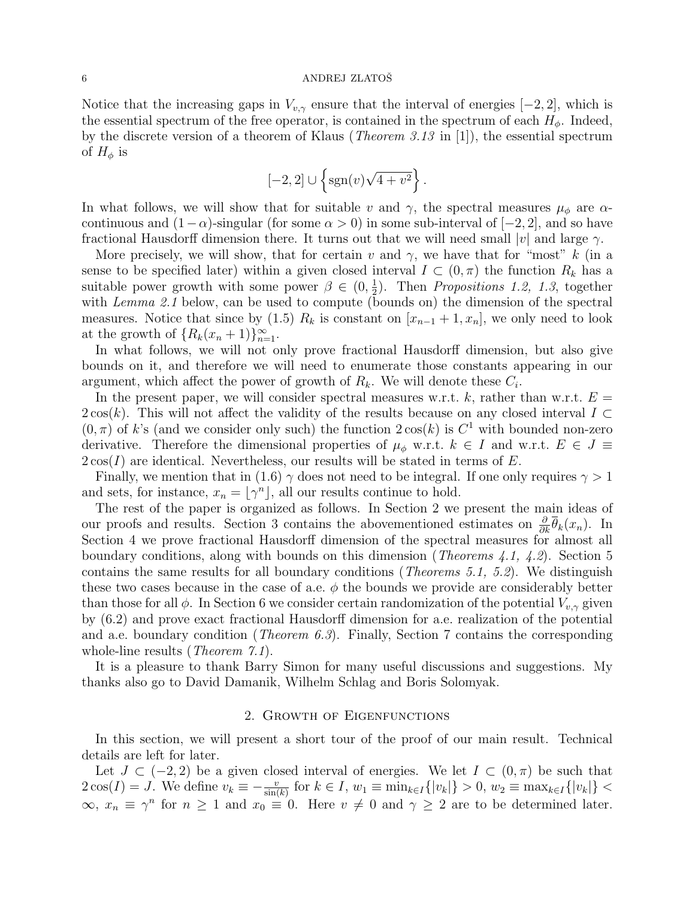Notice that the increasing gaps in  $V_{v,\gamma}$  ensure that the interval of energies [-2, 2], which is the essential spectrum of the free operator, is contained in the spectrum of each  $H_{\phi}$ . Indeed, by the discrete version of a theorem of Klaus (Theorem 3.13 in [1]), the essential spectrum of  $H_{\phi}$  is

$$
[-2,2] \cup \left\{ \operatorname{sgn}(v) \sqrt{4+v^2} \right\}.
$$

In what follows, we will show that for suitable v and  $\gamma$ , the spectral measures  $\mu_{\phi}$  are  $\alpha$ continuous and  $(1-\alpha)$ -singular (for some  $\alpha > 0$ ) in some sub-interval of  $[-2, 2]$ , and so have fractional Hausdorff dimension there. It turns out that we will need small  $|v|$  and large  $\gamma$ .

More precisely, we will show, that for certain v and  $\gamma$ , we have that for "most" k (in a sense to be specified later) within a given closed interval  $I \subset (0, \pi)$  the function  $R_k$  has a suitable power growth with some power  $\beta \in (0, \frac{1}{2})$  $\frac{1}{2}$ ). Then *Propositions 1.2, 1.3*, together with *Lemma 2.1* below, can be used to compute (bounds on) the dimension of the spectral measures. Notice that since by (1.5)  $R_k$  is constant on  $[x_{n-1}+1, x_n]$ , we only need to look at the growth of  $\{R_k(x_n+1)\}_{n=1}^{\infty}$ .

In what follows, we will not only prove fractional Hausdorff dimension, but also give bounds on it, and therefore we will need to enumerate those constants appearing in our argument, which affect the power of growth of  $R_k$ . We will denote these  $C_i$ .

In the present paper, we will consider spectral measures w.r.t. k, rather than w.r.t.  $E =$  $2\cos(k)$ . This will not affect the validity of the results because on any closed interval  $I \subset$  $(0, \pi)$  of k's (and we consider only such) the function  $2\cos(k)$  is  $C^1$  with bounded non-zero derivative. Therefore the dimensional properties of  $\mu_{\phi}$  w.r.t.  $k \in I$  and w.r.t.  $E \in J \equiv$  $2\cos(I)$  are identical. Nevertheless, our results will be stated in terms of E.

Finally, we mention that in (1.6)  $\gamma$  does not need to be integral. If one only requires  $\gamma > 1$ and sets, for instance,  $x_n = \lfloor \gamma^n \rfloor$ , all our results continue to hold.

The rest of the paper is organized as follows. In Section 2 we present the main ideas of our proofs and results. Section 3 contains the abovementioned estimates on  $\frac{\partial}{\partial k} \overline{\theta}_k(x_n)$ . In Section 4 we prove fractional Hausdorff dimension of the spectral measures for almost all boundary conditions, along with bounds on this dimension (*Theorems 4.1, 4.2*). Section 5 contains the same results for all boundary conditions (Theorems 5.1, 5.2). We distinguish these two cases because in the case of a.e.  $\phi$  the bounds we provide are considerably better than those for all  $\phi$ . In Section 6 we consider certain randomization of the potential  $V_{v,\gamma}$  given by (6.2) and prove exact fractional Hausdorff dimension for a.e. realization of the potential and a.e. boundary condition (*Theorem 6.3*). Finally, Section 7 contains the corresponding whole-line results (*Theorem 7.1*).

It is a pleasure to thank Barry Simon for many useful discussions and suggestions. My thanks also go to David Damanik, Wilhelm Schlag and Boris Solomyak.

#### 2. Growth of Eigenfunctions

In this section, we will present a short tour of the proof of our main result. Technical details are left for later.

Let  $J \subset (-2, 2)$  be a given closed interval of energies. We let  $I \subset (0, \pi)$  be such that  $2\cos(I) = J$ . We define  $v_k \equiv -\frac{v}{\sin(k)}$  for  $k \in I$ ,  $w_1 \equiv \min_{k \in I} \{|v_k|\} > 0$ ,  $w_2 \equiv \max_{k \in I} \{|v_k|\} <$  $\infty, x_n \equiv \gamma^n$  for  $n \geq 1$  and  $x_0 \equiv 0$ . Here  $v \neq 0$  and  $\gamma \geq 2$  are to be determined later.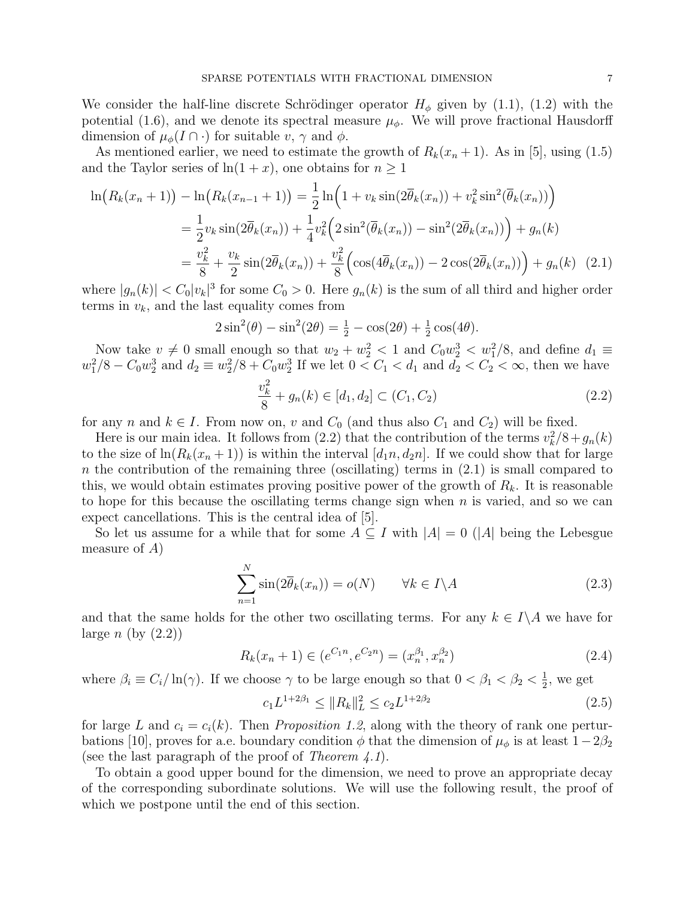We consider the half-line discrete Schrödinger operator  $H_{\phi}$  given by (1.1), (1.2) with the potential (1.6), and we denote its spectral measure  $\mu_{\phi}$ . We will prove fractional Hausdorff dimension of  $\mu_{\phi}(I \cap \cdot)$  for suitable  $v, \gamma$  and  $\phi$ .

As mentioned earlier, we need to estimate the growth of  $R_k(x_n + 1)$ . As in [5], using (1.5) and the Taylor series of  $ln(1 + x)$ , one obtains for  $n \ge 1$ 

$$
\ln(R_k(x_n+1)) - \ln(R_k(x_{n-1}+1)) = \frac{1}{2}\ln(1 + v_k \sin(2\overline{\theta}_k(x_n)) + v_k^2 \sin^2(\overline{\theta}_k(x_n)) )
$$
  

$$
= \frac{1}{2}v_k \sin(2\overline{\theta}_k(x_n)) + \frac{1}{4}v_k^2(2\sin^2(\overline{\theta}_k(x_n)) - \sin^2(2\overline{\theta}_k(x_n)) ) + g_n(k)
$$
  

$$
= \frac{v_k^2}{8} + \frac{v_k}{2}\sin(2\overline{\theta}_k(x_n)) + \frac{v_k^2}{8}(\cos(4\overline{\theta}_k(x_n)) - 2\cos(2\overline{\theta}_k(x_n)) ) + g_n(k)
$$
 (2.1)

where  $|g_n(k)| < C_0|v_k|^3$  for some  $C_0 > 0$ . Here  $g_n(k)$  is the sum of all third and higher order terms in  $v_k$ , and the last equality comes from

$$
2\sin^2(\theta) - \sin^2(2\theta) = \frac{1}{2} - \cos(2\theta) + \frac{1}{2}\cos(4\theta).
$$

Now take  $v \neq 0$  small enough so that  $w_2 + w_2^2 < 1$  and  $C_0 w_2^3 < w_1^2/8$ , and define  $d_1 \equiv$  $w_1^2/8 - C_0 w_2^3$  and  $d_2 \equiv w_2^2/8 + C_0 w_2^3$  If we let  $0 < C_1 < d_1$  and  $d_2 < C_2 < \infty$ , then we have

$$
\frac{v_k^2}{8} + g_n(k) \in [d_1, d_2] \subset (C_1, C_2)
$$
\n(2.2)

for any n and  $k \in I$ . From now on, v and  $C_0$  (and thus also  $C_1$  and  $C_2$ ) will be fixed.

Here is our main idea. It follows from (2.2) that the contribution of the terms  $v_k^2/8 + g_n(k)$ to the size of  $\ln(R_k(x_n+1))$  is within the interval  $[d_1n, d_2n]$ . If we could show that for large n the contribution of the remaining three (oscillating) terms in  $(2.1)$  is small compared to this, we would obtain estimates proving positive power of the growth of  $R_k$ . It is reasonable to hope for this because the oscillating terms change sign when  $n$  is varied, and so we can expect cancellations. This is the central idea of [5].

So let us assume for a while that for some  $A \subseteq I$  with  $|A| = 0$  ( $|A|$  being the Lebesgue measure of  $A$ )

$$
\sum_{n=1}^{N} \sin(2\overline{\theta}_k(x_n)) = o(N) \qquad \forall k \in I \backslash A
$$
\n(2.3)

and that the same holds for the other two oscillating terms. For any  $k \in I \backslash A$  we have for large  $n$  (by  $(2.2)$ )

$$
R_k(x_n + 1) \in (e^{C_1 n}, e^{C_2 n}) = (x_n^{\beta_1}, x_n^{\beta_2})
$$
\n(2.4)

where  $\beta_i \equiv C_i/\ln(\gamma)$ . If we choose  $\gamma$  to be large enough so that  $0 < \beta_1 < \beta_2 < \frac{1}{2}$  $\frac{1}{2}$ , we get

$$
c_1 L^{1+2\beta_1} \le ||R_k||_L^2 \le c_2 L^{1+2\beta_2} \tag{2.5}
$$

for large L and  $c_i = c_i(k)$ . Then Proposition 1.2, along with the theory of rank one perturbations [10], proves for a.e. boundary condition  $\phi$  that the dimension of  $\mu_{\phi}$  is at least  $1-2\beta_2$ (see the last paragraph of the proof of Theorem  $(4.1)$ .).

To obtain a good upper bound for the dimension, we need to prove an appropriate decay of the corresponding subordinate solutions. We will use the following result, the proof of which we postpone until the end of this section.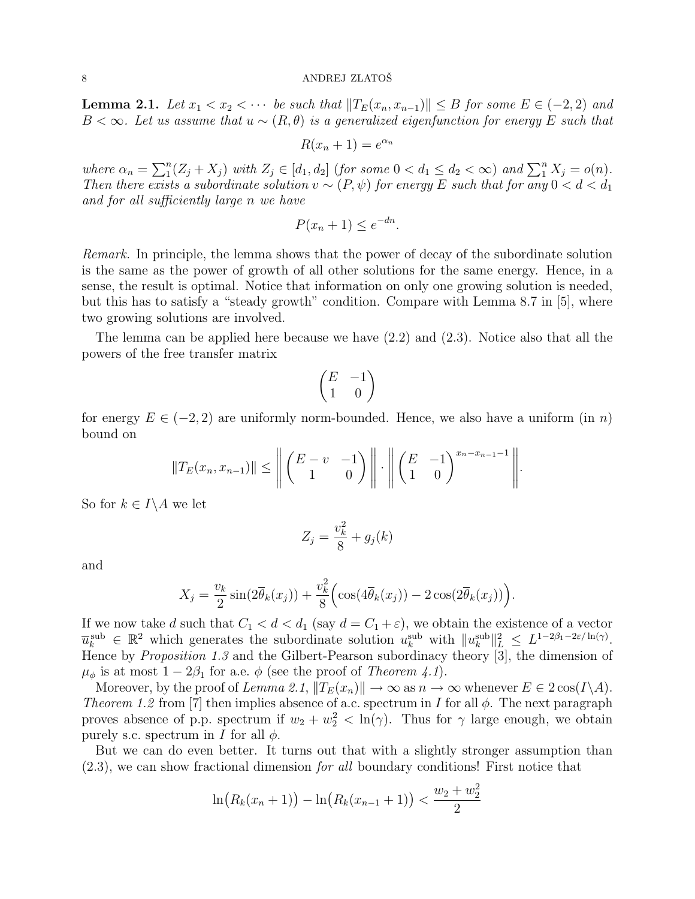**Lemma 2.1.** Let  $x_1 < x_2 < \cdots$  be such that  $||T_E(x_n, x_{n-1})|| \leq B$  for some  $E \in (-2, 2)$  and B < ∞. Let us assume that  $u \sim (R, \theta)$  is a generalized eigenfunction for energy E such that

$$
R(x_n + 1) = e^{\alpha_n}
$$

where  $\alpha_n = \sum_1^n$  $I_1^n(Z_j + X_j)$  with  $Z_j \in [d_1, d_2]$  (for some  $0 < d_1 \le d_2 < \infty$ ) and  $\sum_1^n X_j = o(n)$ . Then there exists a subordinate solution  $v \sim (P, \psi)$  for energy E such that for any  $0 < d < d_1$ and for all sufficiently large n we have

$$
P(x_n + 1) \le e^{-dn}.
$$

Remark. In principle, the lemma shows that the power of decay of the subordinate solution is the same as the power of growth of all other solutions for the same energy. Hence, in a sense, the result is optimal. Notice that information on only one growing solution is needed, but this has to satisfy a "steady growth" condition. Compare with Lemma 8.7 in [5], where two growing solutions are involved.

The lemma can be applied here because we have (2.2) and (2.3). Notice also that all the powers of the free transfer matrix

$$
\begin{pmatrix} E & -1 \\ 1 & 0 \end{pmatrix}
$$

for energy  $E \in (-2, 2)$  are uniformly norm-bounded. Hence, we also have a uniform (in n) bound on ° ° °

$$
||T_E(x_n, x_{n-1})|| \le \left\| \begin{pmatrix} E - v & -1 \\ 1 & 0 \end{pmatrix} \right\| \cdot \left\| \begin{pmatrix} E & -1 \\ 1 & 0 \end{pmatrix}^{x_n - x_{n-1} - 1} \right\|
$$

.

So for  $k \in I \backslash A$  we let

$$
Z_j = \frac{v_k^2}{8} + g_j(k)
$$

and

$$
X_j = \frac{v_k}{2}\sin(2\overline{\theta}_k(x_j)) + \frac{v_k^2}{8}\Big(\cos(4\overline{\theta}_k(x_j)) - 2\cos(2\overline{\theta}_k(x_j))\Big).
$$

If we now take d such that  $C_1 < d < d_1$  (say  $d = C_1 + \varepsilon$ ), we obtain the existence of a vector  $\overline{u}_k^{\text{sub}} \in \mathbb{R}^2$  which generates the subordinate solution  $u_k^{\text{sub}}$  with  $||u_k^{\text{sub}}||_L^2 \leq L^{1-2\beta_1-2\varepsilon/\ln(\gamma)}$ . Hence by *Proposition 1.3* and the Gilbert-Pearson subordinacy theory  $\dddot{\mathbf{3}}$ , the dimension of  $\mu_{\phi}$  is at most  $1 - 2\beta_1$  for a.e.  $\phi$  (see the proof of *Theorem 4.1*).

Moreover, by the proof of Lemma 2.1,  $||T_E(x_n)|| \to \infty$  as  $n \to \infty$  whenever  $E \in 2 \cos(I\setminus A)$ . Theorem 1.2 from [7] then implies absence of a.c. spectrum in I for all  $\phi$ . The next paragraph proves absence of p.p. spectrum if  $w_2 + w_2^2 < \ln(\gamma)$ . Thus for  $\gamma$  large enough, we obtain purely s.c. spectrum in I for all  $\phi$ .

But we can do even better. It turns out that with a slightly stronger assumption than (2.3), we can show fractional dimension for all boundary conditions! First notice that

$$
\ln(R_k(x_n+1)) - \ln(R_k(x_{n-1}+1)) < \frac{w_2 + w_2^2}{2}
$$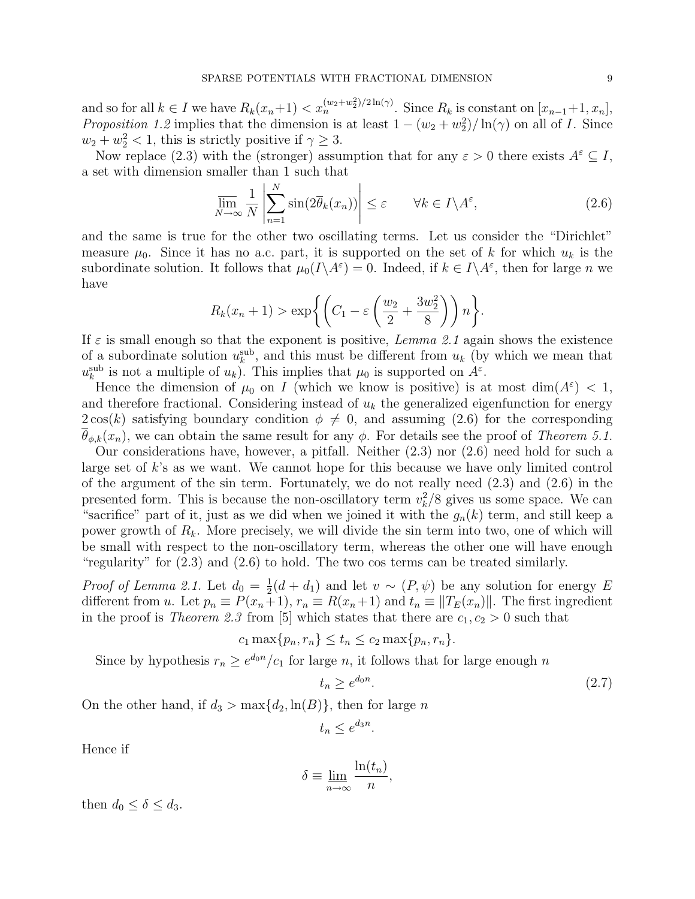and so for all  $k \in I$  we have  $R_k(x_n+1) < x_n^{(w_2+w_2^2)/2 \ln(\gamma)}$ . Since  $R_k$  is constant on  $[x_{n-1}+1, x_n]$ , *Proposition 1.2* implies that the dimension is at least  $1 - (w_2 + w_2^2)/\ln(\gamma)$  on all of *I*. Since  $w_2 + w_2^2 < 1$ , this is strictly positive if  $\gamma \geq 3$ .

Now replace (2.3) with the (stronger) assumption that for any  $\varepsilon > 0$  there exists  $A^{\varepsilon} \subseteq I$ , a set with dimension smaller than 1 such that  $\overline{a}$ 

$$
\overline{\lim}_{N \to \infty} \frac{1}{N} \left| \sum_{n=1}^{N} \sin(2\overline{\theta}_k(x_n)) \right| \le \varepsilon \qquad \forall k \in I \backslash A^{\varepsilon}, \tag{2.6}
$$

and the same is true for the other two oscillating terms. Let us consider the "Dirichlet" measure  $\mu_0$ . Since it has no a.c. part, it is supported on the set of k for which  $u_k$  is the subordinate solution. It follows that  $\mu_0(I \setminus A^\varepsilon) = 0$ . Indeed, if  $k \in I \setminus A^\varepsilon$ , then for large n we have  $\overline{a}$  $\sqrt{2}$  $\mathbf{A}$ 

$$
R_k(x_n+1) > \exp\biggl\{ \left( C_1 - \varepsilon \left( \frac{w_2}{2} + \frac{3w_2^2}{8} \right) \right) n \biggr\}.
$$

If  $\varepsilon$  is small enough so that the exponent is positive, Lemma 2.1 again shows the existence of a subordinate solution  $u_k^{\text{sub}}$ , and this must be different from  $u_k$  (by which we mean that  $u_k^{\text{sub}}$  is not a multiple of  $u_k$ ). This implies that  $\mu_0$  is supported on  $A^{\varepsilon}$ .

Hence the dimension of  $\mu_0$  on I (which we know is positive) is at most  $\dim(A^{\varepsilon}) < 1$ , and therefore fractional. Considering instead of  $u_k$  the generalized eigenfunction for energy  $2\cos(k)$  satisfying boundary condition  $\phi \neq 0$ , and assuming (2.6) for the corresponding  $\theta_{\phi,k}(x_n)$ , we can obtain the same result for any  $\phi$ . For details see the proof of Theorem 5.1.

Our considerations have, however, a pitfall. Neither (2.3) nor (2.6) need hold for such a large set of k's as we want. We cannot hope for this because we have only limited control of the argument of the sin term. Fortunately, we do not really need (2.3) and (2.6) in the presented form. This is because the non-oscillatory term  $v_k^2/8$  gives us some space. We can "sacrifice" part of it, just as we did when we joined it with the  $g_n(k)$  term, and still keep a power growth of  $R_k$ . More precisely, we will divide the sin term into two, one of which will be small with respect to the non-oscillatory term, whereas the other one will have enough "regularity" for (2.3) and (2.6) to hold. The two cos terms can be treated similarly.

*Proof of Lemma 2.1.* Let  $d_0 = \frac{1}{2}$  $\frac{1}{2}(d+d_1)$  and let  $v \sim (P,\psi)$  be any solution for energy E different from u. Let  $p_n \equiv P(x_n+1)$ ,  $r_n \equiv R(x_n+1)$  and  $t_n \equiv ||T_E(x_n)||$ . The first ingredient in the proof is *Theorem 2.3* from [5] which states that there are  $c_1, c_2 > 0$  such that

$$
c_1 \max\{p_n, r_n\} \le t_n \le c_2 \max\{p_n, r_n\}.
$$

Since by hypothesis  $r_n \geq e^{d_0 n}/c_1$  for large n, it follows that for large enough n

$$
t_n \ge e^{d_0 n}.\tag{2.7}
$$

On the other hand, if  $d_3 > \max\{d_2, \ln(B)\}\)$ , then for large n

$$
t_n \le e^{d_3 n}.
$$

Hence if

$$
\delta \equiv \lim_{n \to \infty} \frac{\ln(t_n)}{n},
$$

then  $d_0 \leq \delta \leq d_3$ .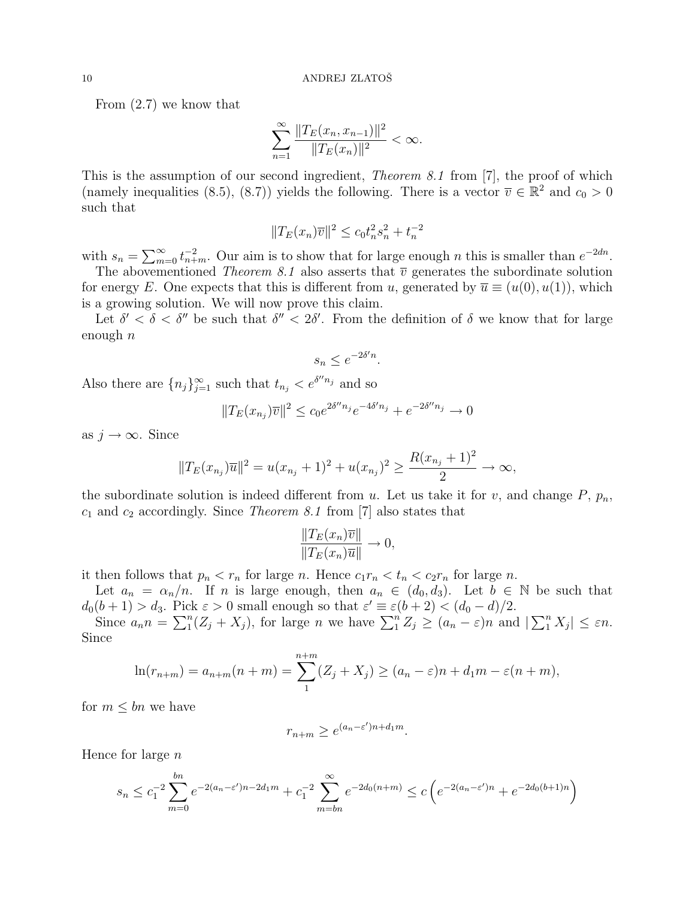From (2.7) we know that

$$
\sum_{n=1}^{\infty} \frac{||T_E(x_n, x_{n-1})||^2}{||T_E(x_n)||^2} < \infty.
$$

This is the assumption of our second ingredient, *Theorem 8.1* from [7], the proof of which (namely inequalities (8.5), (8.7)) yields the following. There is a vector  $\overline{v} \in \mathbb{R}^2$  and  $c_0 > 0$ such that

$$
||T_E(x_n)\overline{v}||^2 \le c_0 t_n^2 s_n^2 + t_n^{-2}
$$

with  $s_n = \sum_{m=1}^{\infty}$  $_{m=0}^{\infty} t_{n+m}^{-2}$ . Our aim is to show that for large enough *n* this is smaller than  $e^{-2dn}$ .

The abovementioned Theorem 8.1 also asserts that  $\overline{v}$  generates the subordinate solution for energy E. One expects that this is different from u, generated by  $\overline{u} \equiv (u(0), u(1))$ , which is a growing solution. We will now prove this claim.

Let  $\delta' < \delta < \delta''$  be such that  $\delta'' < 2\delta'$ . From the definition of  $\delta$  we know that for large enough  $n$ 

$$
s_n \le e^{-2\delta'n}.
$$

Also there are  ${n_j}_{j=1}^{\infty}$  such that  $t_{n_j} < e^{\delta^n n_j}$  and so

$$
||T_E(x_{n_j})\overline{v}||^2 \le c_0 e^{2\delta'' n_j} e^{-4\delta' n_j} + e^{-2\delta'' n_j} \to 0
$$

as  $j \to \infty$ . Since

$$
||T_E(x_{n_j})\overline{u}||^2 = u(x_{n_j} + 1)^2 + u(x_{n_j})^2 \ge \frac{R(x_{n_j} + 1)^2}{2} \to \infty,
$$

the subordinate solution is indeed different from u. Let us take it for v, and change  $P$ ,  $p_n$ ,  $c_1$  and  $c_2$  accordingly. Since *Theorem 8.1* from [7] also states that

$$
\frac{\|T_E(x_n)\overline{v}\|}{\|T_E(x_n)\overline{u}\|} \to 0,
$$

it then follows that  $p_n < r_n$  for large n. Hence  $c_1r_n < t_n < c_2r_n$  for large n.

Let  $a_n = \alpha_n/n$ . If n is large enough, then  $a_n \in (d_0, d_3)$ . Let  $b \in \mathbb{N}$  be such that  $d_0(b+1) > d_3$ . Pick  $\varepsilon > 0$  small enough so that  $\varepsilon' \equiv \varepsilon(b+2) < (d_0 - d)/2$ .<br>Since  $\varepsilon \geq \sum_{k=1}^n (Z + Y_k)$  for large n we have  $\sum_{k=1}^n Z \geq (a-2)$  and any  $\sum_{n}$ 

( $\delta(t+1) > a_3$ . Pick  $\varepsilon > 0$  small enough so that  $\varepsilon = \varepsilon(0+2) < (a_0 - a)/2$ .<br>Since  $a_n n = \sum_{i=1}^{n} (Z_i + X_j)$ , for large *n* we have  $\sum_{i=1}^{n} Z_i \ge (a_n - \varepsilon)n$  and |  $|_1^n X_j| \leq \varepsilon n.$ Since

$$
\ln(r_{n+m}) = a_{n+m}(n+m) = \sum_{1}^{n+m} (Z_j + X_j) \ge (a_n - \varepsilon)n + d_1m - \varepsilon(n+m),
$$

for  $m \leq bn$  we have

$$
r_{n+m} \ge e^{(a_n - \varepsilon')n + d_1 m}.
$$

Hence for large  $n$ 

$$
s_n \le c_1^{-2} \sum_{m=0}^{bn} e^{-2(a_n - \varepsilon')n - 2d_1m} + c_1^{-2} \sum_{m=bn}^{\infty} e^{-2d_0(n+m)} \le c \left( e^{-2(a_n - \varepsilon')n} + e^{-2d_0(b+1)n} \right)
$$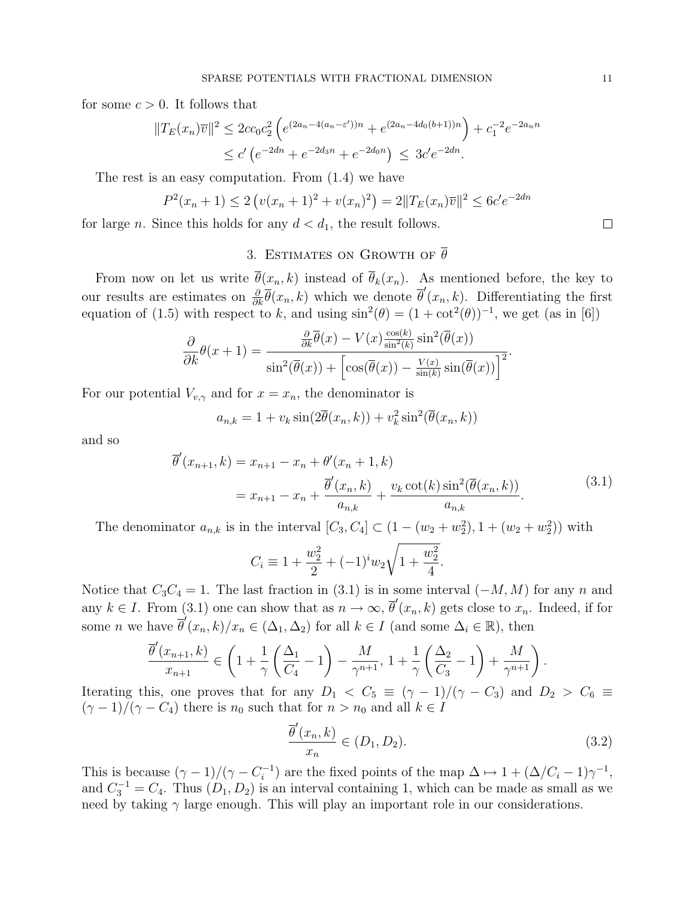for some  $c > 0$ . It follows that

$$
||T_E(x_n)\overline{v}||^2 \le 2cc_0c_2^2 \left(e^{(2a_n-4(a_n-\varepsilon'))n} + e^{(2a_n-4d_0(b+1))n}\right) + c_1^{-2}e^{-2a_nn}
$$
  
 
$$
\le c' \left(e^{-2dn} + e^{-2d_3n} + e^{-2d_0n}\right) \le 3c'e^{-2dn}.
$$

The rest is an easy computation. From (1.4) we have

$$
P^{2}(x_{n}+1) \leq 2\left(v(x_{n}+1)^{2}+v(x_{n})^{2}\right) = 2\|T_{E}(x_{n})\overline{v}\|^{2} \leq 6c'e^{-2dn}
$$

for large *n*. Since this holds for any  $d < d_1$ , the result follows.

# 3. ESTIMATES ON GROWTH OF  $\overline{\theta}$

From now on let us write  $\bar{\theta}(x_n, k)$  instead of  $\bar{\theta}_k(x_n)$ . As mentioned before, the key to our results are estimates on  $\frac{\partial}{\partial k} \overline{\theta}(x_n, k)$  which we denote  $\overline{\theta}'(x_n, k)$ . Differentiating the first equation of (1.5) with respect to k, and using  $\sin^2(\theta) = (1 + \cot^2(\theta))^{-1}$ , we get (as in [6])

$$
\frac{\partial}{\partial k}\theta(x+1) = \frac{\frac{\partial}{\partial k}\overline{\theta}(x) - V(x)\frac{\cos(k)}{\sin^2(k)}\sin^2(\overline{\theta}(x))}{\sin^2(\overline{\theta}(x)) + \left[\cos(\overline{\theta}(x)) - \frac{V(x)}{\sin(k)}\sin(\overline{\theta}(x))\right]^2}.
$$

For our potential  $V_{v,\gamma}$  and for  $x = x_n$ , the denominator is

$$
a_{n,k} = 1 + v_k \sin(2\overline{\theta}(x_n, k)) + v_k^2 \sin^2(\overline{\theta}(x_n, k))
$$

and so

$$
\overline{\theta}'(x_{n+1}, k) = x_{n+1} - x_n + \theta'(x_n + 1, k)
$$
  
=  $x_{n+1} - x_n + \frac{\overline{\theta}'(x_n, k)}{a_{n,k}} + \frac{v_k \cot(k) \sin^2(\overline{\theta}(x_n, k))}{a_{n,k}}.$  (3.1)

The denominator  $a_{n,k}$  is in the interval  $[C_3, C_4] \subset (1 - (w_2 + w_2^2), 1 + (w_2 + w_2^2))$  with

$$
C_i \equiv 1 + \frac{w_2^2}{2} + (-1)^i w_2 \sqrt{1 + \frac{w_2^2}{4}}.
$$

Notice that  $C_3C_4 = 1$ . The last fraction in (3.1) is in some interval  $(-M, M)$  for any n and any  $k \in I$ . From (3.1) one can show that as  $n \to \infty$ ,  $\overline{\theta}'(x_n, k)$  gets close to  $x_n$ . Indeed, if for some *n* we have  $\overline{\theta}'(x_n, k)/x_n \in (\Delta_1, \Delta_2)$  for all  $k \in I$  (and some  $\Delta_i \in \mathbb{R}$ ), then

$$
\frac{\overline{\theta}'(x_{n+1},k)}{x_{n+1}} \in \left(1 + \frac{1}{\gamma} \left(\frac{\Delta_1}{C_4} - 1\right) - \frac{M}{\gamma^{n+1}}, 1 + \frac{1}{\gamma} \left(\frac{\Delta_2}{C_3} - 1\right) + \frac{M}{\gamma^{n+1}}\right).
$$

Iterating this, one proves that for any  $D_1 < C_5 \equiv (\gamma - 1)/(\gamma - C_3)$  and  $D_2 > C_6 \equiv$  $(\gamma - 1)/(\gamma - C_4)$  there is  $n_0$  such that for  $n > n_0$  and all  $k \in I$ 

$$
\frac{\overline{\theta}'(x_n, k)}{x_n} \in (D_1, D_2). \tag{3.2}
$$

This is because  $(\gamma - 1)/(\gamma - C_i^{-1})$  $i^{-1}$ ) are the fixed points of the map  $\Delta \mapsto 1 + (\Delta/C_i - 1)\gamma^{-1}$ , and  $C_3^{-1} = C_4$ . Thus  $(D_1, D_2)$  is an interval containing 1, which can be made as small as we need by taking  $\gamma$  large enough. This will play an important role in our considerations.

 $\Box$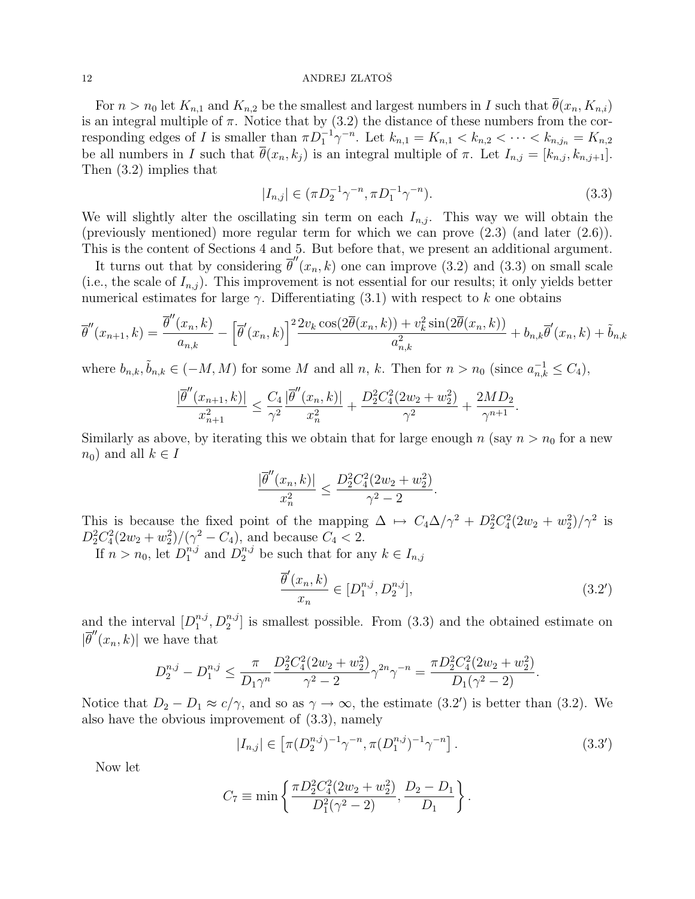For  $n > n_0$  let  $K_{n,1}$  and  $K_{n,2}$  be the smallest and largest numbers in I such that  $\theta(x_n, K_{n,i})$ is an integral multiple of  $\pi$ . Notice that by (3.2) the distance of these numbers from the corresponding edges of I is smaller than  $\pi D_1^{-1} \gamma^{-n}$ . Let  $k_{n,1} = K_{n,1} < k_{n,2} < \cdots < k_{n,j_n} = K_{n,2}$ be all numbers in I such that  $\overline{\theta}(x_n, k_j)$  is an integral multiple of  $\pi$ . Let  $I_{n,j} = [k_{n,j}, k_{n,j+1}]$ . Then (3.2) implies that

$$
|I_{n,j}| \in (\pi D_2^{-1} \gamma^{-n}, \pi D_1^{-1} \gamma^{-n}). \tag{3.3}
$$

We will slightly alter the oscillating sin term on each  $I_{n,j}$ . This way we will obtain the (previously mentioned) more regular term for which we can prove (2.3) (and later (2.6)). This is the content of Sections 4 and 5. But before that, we present an additional argument.

It turns out that by considering  $\overline{\theta}''(x_n,k)$  one can improve (3.2) and (3.3) on small scale (i.e., the scale of  $I_{n,j}$ ). This improvement is not essential for our results; it only yields better numerical estimates for large  $\gamma$ . Differentiating (3.1) with respect to k one obtains

$$
\overline{\theta}''(x_{n+1},k) = \frac{\overline{\theta}''(x_n,k)}{a_{n,k}} - \left[\overline{\theta}'(x_n,k)\right]^2 \frac{2v_k \cos(2\overline{\theta}(x_n,k)) + v_k^2 \sin(2\overline{\theta}(x_n,k))}{a_{n,k}^2} + b_{n,k}\overline{\theta}'(x_n,k) + \tilde{b}_{n,k}
$$

where  $b_{n,k}, \tilde{b}_{n,k} \in (-M, M)$  for some M and all n, k. Then for  $n > n_0$  (since  $a_{n,k}^{-1} \leq C_4$ ),

$$
\frac{|\overline{\theta}''(x_{n+1},k)|}{x_{n+1}^2} \le \frac{C_4}{\gamma^2} \frac{|\overline{\theta}''(x_n,k)|}{x_n^2} + \frac{D_2^2 C_4^2 (2w_2 + w_2^2)}{\gamma^2} + \frac{2MD_2}{\gamma^{n+1}}.
$$

Similarly as above, by iterating this we obtain that for large enough  $n$  (say  $n > n_0$  for a new  $n_0$ ) and all  $k \in I$ 

$$
\frac{|\overline{\theta}''(x_n, k)|}{x_n^2} \le \frac{D_2^2 C_4^2 (2w_2 + w_2^2)}{\gamma^2 - 2}
$$

This is because the fixed point of the mapping  $\Delta \mapsto C_4 \Delta / \gamma^2 + D_2^2 C_4^2 (2w_2 + w_2^2) / \gamma^2$  is  $D_2^2C_4^2(2w_2+w_2^2)/(\gamma^2-C_4)$ , and because  $C_4 < 2$ .

If  $n > n_0$ , let  $D_1^{n,j}$  $n_j$  and  $D_2^{n,j}$  be such that for any  $k \in I_{n,j}$ 

$$
\frac{\overline{\theta}'(x_n, k)}{x_n} \in [D_1^{n,j}, D_2^{n,j}],
$$
\n(3.2')

.

and the interval  $[D_1^{n,j}]$  $\binom{n,j}{1}, D_2^{n,j}$  is smallest possible. From (3.3) and the obtained estimate on  $|\bar{\theta}''(x_n,k)|$  we have that

$$
D_2^{n,j} - D_1^{n,j} \le \frac{\pi}{D_1 \gamma^n} \frac{D_2^2 C_4^2 (2w_2 + w_2^2)}{\gamma^2 - 2} \gamma^{2n} \gamma^{-n} = \frac{\pi D_2^2 C_4^2 (2w_2 + w_2^2)}{D_1 (\gamma^2 - 2)}.
$$

Notice that  $D_2 - D_1 \approx c/\gamma$ , and so as  $\gamma \to \infty$ , the estimate (3.2') is better than (3.2). We also have the obvious improvement of (3.3), namely

$$
|I_{n,j}| \in \left[\pi(D_2^{n,j})^{-1}\gamma^{-n}, \pi(D_1^{n,j})^{-1}\gamma^{-n}\right].
$$
\n(3.3')

Now let

$$
C_7 \equiv \min \left\{ \frac{\pi D_2^2 C_4^2 (2w_2 + w_2^2)}{D_1^2 (\gamma^2 - 2)}, \frac{D_2 - D_1}{D_1} \right\}.
$$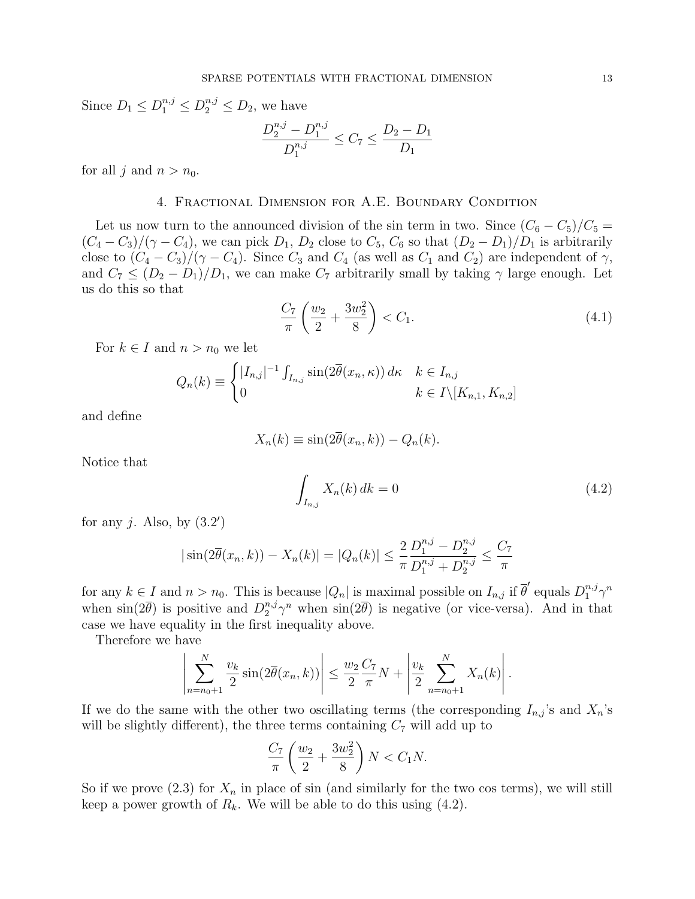Since  $D_1 \le D_1^{n,j} \le D_2^{n,j} \le D_2$ , we have

$$
\frac{D_2^{n,j} - D_1^{n,j}}{D_1^{n,j}} \le C_7 \le \frac{D_2 - D_1}{D_1}
$$

for all j and  $n > n_0$ .

## 4. Fractional Dimension for A.E. Boundary Condition

Let us now turn to the announced division of the sin term in two. Since  $(C_6 - C_5)/C_5 =$  $(C_4 - C_3)/(\gamma - C_4)$ , we can pick  $D_1$ ,  $D_2$  close to  $C_5$ ,  $C_6$  so that  $(D_2 - D_1)/D_1$  is arbitrarily close to  $(C_4 - C_3)/(\gamma - C_4)$ . Since  $C_3$  and  $C_4$  (as well as  $C_1$  and  $C_2$ ) are independent of  $\gamma$ , and  $C_7 \leq (D_2 - D_1)/D_1$ , we can make  $C_7$  arbitrarily small by taking  $\gamma$  large enough. Let us do this so that  $\overline{a}$  $\mathbf{r}$ 

$$
\frac{C_7}{\pi} \left( \frac{w_2}{2} + \frac{3w_2^2}{8} \right) < C_1. \tag{4.1}
$$

For  $k \in I$  and  $n > n_0$  we let

$$
Q_n(k) \equiv \begin{cases} |I_{n,j}|^{-1} \int_{I_{n,j}} \sin(2\overline{\theta}(x_n, \kappa)) \, d\kappa & k \in I_{n,j} \\ 0 & k \in I \setminus [K_{n,1}, K_{n,2}] \end{cases}
$$

and define

$$
X_n(k) \equiv \sin(2\overline{\theta}(x_n, k)) - Q_n(k).
$$

Notice that

$$
\int_{I_{n,j}} X_n(k) dk = 0 \tag{4.2}
$$

for any j. Also, by  $(3.2')$ 

$$
|\sin(2\overline{\theta}(x_n, k)) - X_n(k)| = |Q_n(k)| \le \frac{2}{\pi} \frac{D_1^{n,j} - D_2^{n,j}}{D_1^{n,j} + D_2^{n,j}} \le \frac{C_7}{\pi}
$$

for any  $k \in I$  and  $n > n_0$ . This is because  $|Q_n|$  is maximal possible on  $I_{n,j}$  if  $\overline{\theta}'$  equals  $D_1^{n,j} \gamma^n$ when  $\sin(2\bar{\theta})$  is positive and  $D_2^{n,j}\gamma^n$  when  $\sin(2\bar{\theta})$  is negative (or vice-versa). And in that case we have equality in the first inequality above.

Therefore we have

$$
\left| \sum_{n=n_0+1}^{N} \frac{v_k}{2} \sin(2\overline{\theta}(x_n, k)) \right| \le \frac{w_2}{2} \frac{C_7}{\pi} N + \left| \frac{v_k}{2} \sum_{n=n_0+1}^{N} X_n(k) \right|.
$$

If we do the same with the other two oscillating terms (the corresponding  $I_{n,j}$ 's and  $X_n$ 's will be slightly different), the three terms containing  $C_7$  will add up to

$$
\frac{C_7}{\pi} \left( \frac{w_2}{2} + \frac{3w_2^2}{8} \right) N < C_1 N.
$$

So if we prove  $(2.3)$  for  $X_n$  in place of sin (and similarly for the two cos terms), we will still keep a power growth of  $R_k$ . We will be able to do this using  $(4.2)$ .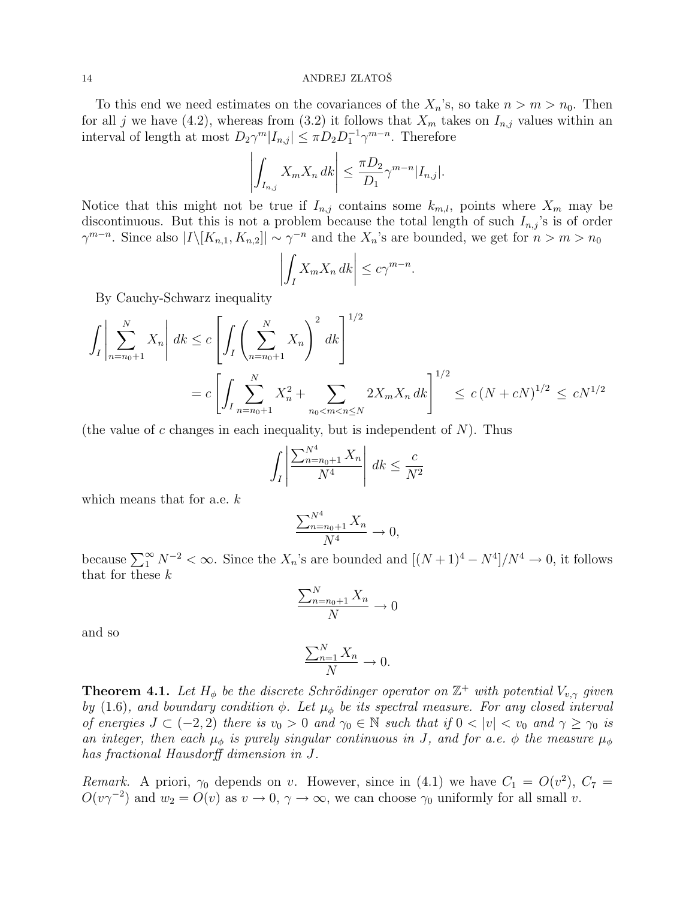To this end we need estimates on the covariances of the  $X_n$ 's, so take  $n > m > n_0$ . Then for all j we have (4.2), whereas from (3.2) it follows that  $X_m$  takes on  $I_{n,j}$  values within an interval of length at most  $D_2\gamma^m|I_{n,j}|\leq \pi D_2D_1^{-1}\gamma^{m-n}$ . Therefore  $\begin{array}{cccc} \n\cdot & \cdot & \cdot & \cdot & \cdot \\
\cdot & \cdot & \cdot & \cdot & \cdot \\
\cdot & \cdot & \cdot & \cdot & \cdot\n\end{array}$ 

$$
\left| \int_{I_{n,j}} X_m X_n \, dk \right| \leq \frac{\pi D_2}{D_1} \gamma^{m-n} |I_{n,j}|.
$$

Notice that this might not be true if  $I_{n,j}$  contains some  $k_{m,l}$ , points where  $X_m$  may be discontinuous. But this is not a problem because the total length of such  $I_{n,j}$ 's is of order  $\gamma^{m-n}$ . Since also  $|I\setminus [K_{n,1}, K_{n,2}]|\sim \gamma^{-n}$  and the  $X_n$ 's are bounded, we get for  $n>m>n_0$ 

$$
\left| \int_I X_m X_n \, dk \right| \leq c \gamma^{m-n}.
$$

By Cauchy-Schwarz inequality

$$
\int_{I} \left| \sum_{n=n_0+1}^{N} X_n \right| dk \le c \left[ \int_{I} \left( \sum_{n=n_0+1}^{N} X_n \right)^2 dk \right]^{1/2}
$$
  
=  $c \left[ \int_{I} \sum_{n=n_0+1}^{N} X_n^2 + \sum_{n_0 < m < n \le N} 2X_m X_n dk \right]^{1/2} \le c (N + c)^{1/2} \le c N^{1/2}$ 

(the value of c changes in each inequality, but is independent of  $N$ ). Thus

$$
\int_{I} \left| \frac{\sum_{n=n_0+1}^{N^4} X_n}{N^4} \right| dk \leq \frac{c}{N^2}
$$

which means that for a.e. k

$$
\frac{\sum_{n=n_0+1}^{N^4} X_n}{N^4} \to 0,
$$

because  $\sum_{1}^{\infty} N^{-2} < \infty$ . Since the  $X_n$ 's are bounded and  $[(N+1)^4 - N^4]/N^4 \to 0$ , it follows that for these k

$$
\frac{\sum_{n=n_0+1}^{N} X_n}{N} \to 0
$$

and so

$$
\frac{\sum_{n=1}^{N} X_n}{N} \to 0.
$$

**Theorem 4.1.** Let  $H_{\phi}$  be the discrete Schrödinger operator on  $\mathbb{Z}^{+}$  with potential  $V_{v,\gamma}$  given by (1.6), and boundary condition  $\phi$ . Let  $\mu_{\phi}$  be its spectral measure. For any closed interval of energies  $J \subset (-2,2)$  there is  $v_0 > 0$  and  $\gamma_0 \in \mathbb{N}$  such that if  $0 < |v| < v_0$  and  $\gamma \ge \gamma_0$  is an integer, then each  $\mu_{\phi}$  is purely singular continuous in J, and for a.e.  $\phi$  the measure  $\mu_{\phi}$ has fractional Hausdorff dimension in J.

Remark. A priori,  $\gamma_0$  depends on v. However, since in (4.1) we have  $C_1 = O(v^2)$ ,  $C_7 =$  $O(v\gamma^{-2})$  and  $w_2 = O(v)$  as  $v \to 0, \gamma \to \infty$ , we can choose  $\gamma_0$  uniformly for all small v.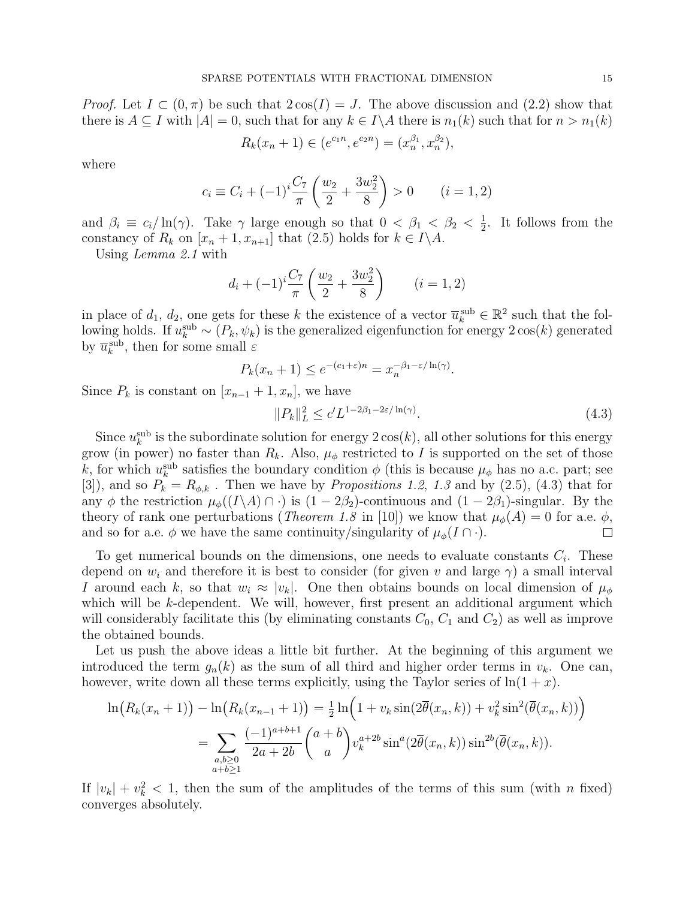*Proof.* Let  $I \subset (0, \pi)$  be such that  $2 \cos(I) = J$ . The above discussion and (2.2) show that there is  $A \subseteq I$  with  $|A| = 0$ , such that for any  $k \in I \backslash A$  there is  $n_1(k)$  such that for  $n > n_1(k)$ 

$$
R_k(x_n + 1) \in (e^{c_1 n}, e^{c_2 n}) = (x_n^{\beta_1}, x_n^{\beta_2}),
$$

where

$$
c_i \equiv C_i + (-1)^i \frac{C_7}{\pi} \left( \frac{w_2}{2} + \frac{3w_2^2}{8} \right) > 0 \qquad (i = 1, 2)
$$

and  $\beta_i \equiv c_i/\ln(\gamma)$ . Take  $\gamma$  large enough so that  $0 < \beta_1 < \beta_2 < \frac{1}{2}$  $\frac{1}{2}$ . It follows from the constancy of  $R_k$  on  $[x_n + 1, x_{n+1}]$  that  $(2.5)$  holds for  $k \in I \backslash A$ .

Using Lemma 2.1 with

$$
d_i + (-1)^i \frac{C_7}{\pi} \left(\frac{w_2}{2} + \frac{3w_2^2}{8}\right) \qquad (i = 1, 2)
$$

in place of  $d_1, d_2$ , one gets for these k the existence of a vector  $\overline{u}_k^{\text{sub}} \in \mathbb{R}^2$  such that the following holds. If  $u_k^{\text{sub}} \sim (P_k, \psi_k)$  is the generalized eigenfunction for energy  $2\cos(k)$  generated by  $\overline{u}_k^{\text{sub}},$  then for some small  $\varepsilon$ 

$$
P_k(x_n + 1) \le e^{-(c_1 + \varepsilon)n} = x_n^{-\beta_1 - \varepsilon/\ln(\gamma)}.
$$

Since  $P_k$  is constant on  $[x_{n-1}+1, x_n]$ , we have

$$
||P_k||_L^2 \le c'L^{1-2\beta_1-2\varepsilon/\ln(\gamma)}.
$$
\n(4.3)

Since  $u_k^{\text{sub}}$  is the subordinate solution for energy  $2\cos(k)$ , all other solutions for this energy grow (in power) no faster than  $R_k$ . Also,  $\mu_{\phi}$  restricted to I is supported on the set of those k, for which  $u_k^{\text{sub}}$  satisfies the boundary condition  $\phi$  (this is because  $\mu_\phi$  has no a.c. part; see [3]), and so  $P_k = R_{\phi,k}$ . Then we have by *Propositions 1.2, 1.3* and by (2.5), (4.3) that for any φ the restriction  $\mu_{\phi}((I\setminus A)\cap \cdot)$  is  $(1-2\beta_2)$ -continuous and  $(1-2\beta_1)$ -singular. By the theory of rank one perturbations (*Theorem 1.8* in [10]) we know that  $\mu_{\phi}(A) = 0$  for a.e.  $\phi$ , and so for a.e.  $\phi$  we have the same continuity/singularity of  $\mu_{\phi}(I \cap \cdot)$ .  $\Box$ 

To get numerical bounds on the dimensions, one needs to evaluate constants  $C_i$ . These depend on  $w_i$  and therefore it is best to consider (for given v and large  $\gamma$ ) a small interval I around each k, so that  $w_i \approx |v_k|$ . One then obtains bounds on local dimension of  $\mu_\phi$ which will be  $k$ -dependent. We will, however, first present an additional argument which will considerably facilitate this (by eliminating constants  $C_0$ ,  $C_1$  and  $C_2$ ) as well as improve the obtained bounds.

Let us push the above ideas a little bit further. At the beginning of this argument we introduced the term  $g_n(k)$  as the sum of all third and higher order terms in  $v_k$ . One can, however, write down all these terms explicitly, using the Taylor series of  $\ln(1 + x)$ .

$$
\ln(R_k(x_n+1)) - \ln(R_k(x_{n-1}+1)) = \frac{1}{2}\ln(1+v_k\sin(2\overline{\theta}(x_n,k)) + v_k^2\sin^2(\overline{\theta}(x_n,k)))
$$
  
= 
$$
\sum_{\substack{a,b\geq 0\\a+b\geq 1}} \frac{(-1)^{a+b+1}}{2a+2b} {a+b \choose a} v_k^{a+2b} \sin^a(2\overline{\theta}(x_n,k)) \sin^{2b}(\overline{\theta}(x_n,k)).
$$

If  $|v_k| + v_k^2 < 1$ , then the sum of the amplitudes of the terms of this sum (with n fixed) converges absolutely.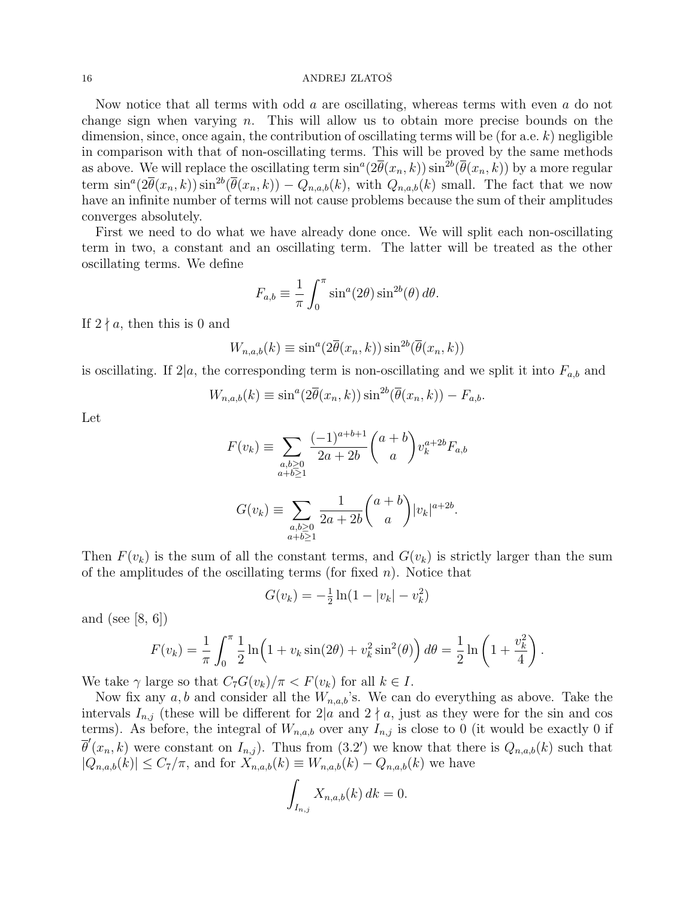Now notice that all terms with odd a are oscillating, whereas terms with even a do not change sign when varying  $n$ . This will allow us to obtain more precise bounds on the dimension, since, once again, the contribution of oscillating terms will be (for a.e.  $k$ ) negligible in comparison with that of non-oscillating terms. This will be proved by the same methods as above. We will replace the oscillating term  $\sin^a(2\bar{\theta}(x_n,k))\sin^{2b}(\bar{\theta}(x_n,k))$  by a more regular term  $\sin^a(2\bar{\theta}(x_n,k))\sin^{2b}(\bar{\theta}(x_n,k)) - Q_{n,a,b}(k)$ , with  $Q_{n,a,b}(k)$  small. The fact that we now have an infinite number of terms will not cause problems because the sum of their amplitudes converges absolutely.

First we need to do what we have already done once. We will split each non-oscillating term in two, a constant and an oscillating term. The latter will be treated as the other oscillating terms. We define

$$
F_{a,b} \equiv \frac{1}{\pi} \int_0^{\pi} \sin^a(2\theta) \sin^{2b}(\theta) d\theta.
$$

If  $2 \nmid a$ , then this is 0 and

$$
W_{n,a,b}(k) \equiv \sin^a(2\overline{\theta}(x_n,k))\sin^{2b}(\overline{\theta}(x_n,k))
$$

is oscillating. If  $2|a$ , the corresponding term is non-oscillating and we split it into  $F_{a,b}$  and

$$
W_{n,a,b}(k) \equiv \sin^a(2\overline{\theta}(x_n,k))\sin^{2b}(\overline{\theta}(x_n,k)) - F_{a,b}.
$$

Let

$$
F(v_k) \equiv \sum_{\substack{a,b \ge 0 \\ a+b \ge 1}} \frac{(-1)^{a+b+1}}{2a+2b} {a+b \choose a} v_k^{a+2b} F_{a,b}
$$

$$
G(v_k) \equiv \sum_{\substack{a,b \ge 0 \\ a+b \ge 1}} \frac{1}{2a+2b} {a+b \choose a} |v_k|^{a+2b}.
$$

Then  $F(v_k)$  is the sum of all the constant terms, and  $G(v_k)$  is strictly larger than the sum of the amplitudes of the oscillating terms (for fixed  $n$ ). Notice that

$$
G(v_k) = -\frac{1}{2}\ln(1 - |v_k| - v_k^2)
$$

and (see [8, 6])

$$
F(v_k) = \frac{1}{\pi} \int_0^{\pi} \frac{1}{2} \ln \left( 1 + v_k \sin(2\theta) + v_k^2 \sin^2(\theta) \right) d\theta = \frac{1}{2} \ln \left( 1 + \frac{v_k^2}{4} \right).
$$

We take  $\gamma$  large so that  $C_7G(v_k)/\pi < F(v_k)$  for all  $k \in I$ .

Now fix any  $a, b$  and consider all the  $W_{n,a,b}$ 's. We can do everything as above. Take the intervals  $I_{n,j}$  (these will be different for  $2|a$  and  $2 \nmid a$ , just as they were for the sin and cos terms). As before, the integral of  $W_{n,a,b}$  over any  $I_{n,j}$  is close to 0 (it would be exactly 0 if  $\overline{\theta}'(x_n,k)$  were constant on  $I_{n,j}$ ). Thus from (3.2') we know that there is  $Q_{n,a,b}(k)$  such that  $|Q_{n,a,b}(k)| \leq C_7/\pi$ , and for  $X_{n,a,b}(k) \equiv W_{n,a,b}(k) - Q_{n,a,b}(k)$  we have Z

$$
\int_{I_{n,j}} X_{n,a,b}(k) dk = 0.
$$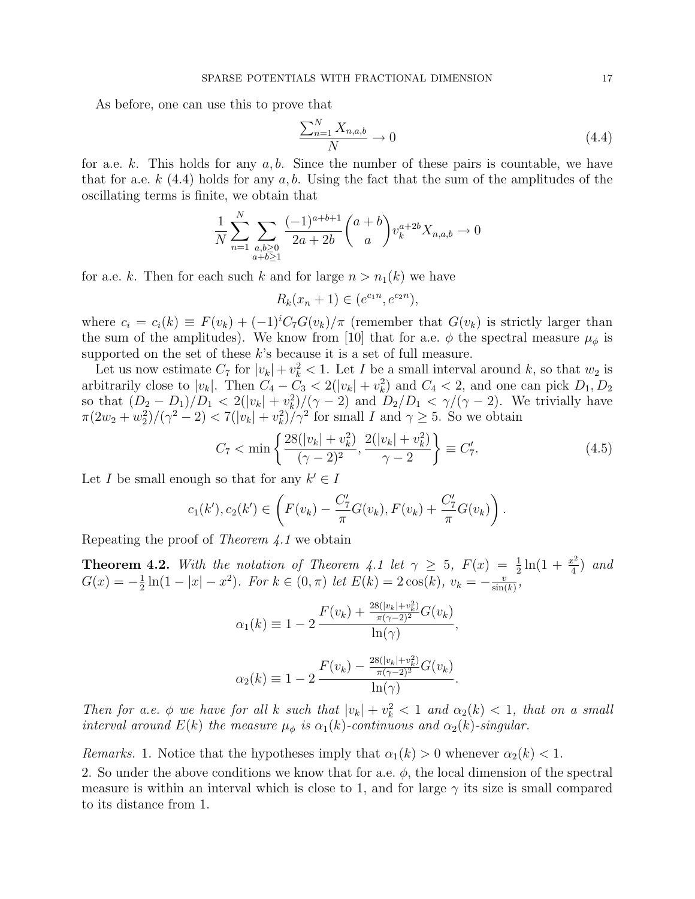As before, one can use this to prove that

$$
\frac{\sum_{n=1}^{N} X_{n,a,b}}{N} \to 0
$$
\n(4.4)

for a.e. k. This holds for any  $a, b$ . Since the number of these pairs is countable, we have that for a.e.  $k(4.4)$  holds for any a, b. Using the fact that the sum of the amplitudes of the oscillating terms is finite, we obtain that

$$
\frac{1}{N} \sum_{n=1}^{N} \sum_{\substack{a,b \ge 0 \\ a+b \ge 1}} \frac{(-1)^{a+b+1}}{2a+2b} {a+b \choose a} v_k^{a+2b} X_{n,a,b} \to 0
$$

for a.e. k. Then for each such k and for large  $n > n_1(k)$  we have

$$
R_k(x_n + 1) \in (e^{c_1 n}, e^{c_2 n}),
$$

where  $c_i = c_i(k) \equiv F(v_k) + (-1)^i C_i G(v_k)/\pi$  (remember that  $G(v_k)$  is strictly larger than the sum of the amplitudes). We know from [10] that for a.e.  $\phi$  the spectral measure  $\mu_{\phi}$  is supported on the set of these  $k$ 's because it is a set of full measure.

Let us now estimate  $C_7$  for  $|v_k| + v_k^2 < 1$ . Let I be a small interval around k, so that  $w_2$  is arbitrarily close to  $|v_k|$ . Then  $C_4 - C_3 < 2(|v_k| + v_k^2)$  and  $C_4 < 2$ , and one can pick  $D_1, D_2$ so that  $(D_2 - D_1)/D_1 < 2(|v_k| + v_k^2)/(\gamma - 2)$  and  $D_2/D_1 < \gamma/(\gamma - 2)$ . We trivially have  $\pi(2w_2 + w_2^2)/(\gamma^2 - 2) < 7(|v_k| + v_k^2)/\gamma^2$  for small I and  $\gamma \ge 5$ . So we obtain

$$
C_7 < \min\left\{\frac{28(|v_k| + v_k^2)}{(\gamma - 2)^2}, \frac{2(|v_k| + v_k^2)}{\gamma - 2}\right\} \equiv C_7'.\tag{4.5}
$$

Let I be small enough so that for any  $k' \in I$ 

$$
c_1(k'), c_2(k') \in \left(F(v_k) - \frac{C_7}{\pi}G(v_k), F(v_k) + \frac{C_7}{\pi}G(v_k)\right).
$$

Repeating the proof of Theorem 4.1 we obtain

**Theorem 4.2.** With the notation of Theorem 4.1 let  $\gamma \geq 5$ ,  $F(x) = \frac{1}{2} \ln(1 + \frac{x^2}{4})$  $rac{x^2}{4}$  and  $G(x) = -\frac{1}{2}$  $\frac{1}{2}\ln(1-|x|-x^2)$ . For  $k \in (0,\pi)$  let  $E(k) = 2\cos(k)$ ,  $v_k = -\frac{v}{\sin(k)}$  $\frac{v}{\sin(k)},$ 

$$
\alpha_1(k) \equiv 1 - 2 \frac{F(v_k) + \frac{28(|v_k| + v_k^2)}{\pi(\gamma - 2)^2} G(v_k)}{\ln(\gamma)},
$$
  

$$
\alpha_2(k) \equiv 1 - 2 \frac{F(v_k) - \frac{28(|v_k| + v_k^2)}{\pi(\gamma - 2)^2} G(v_k)}{\ln(\gamma)}.
$$

Then for a.e.  $\phi$  we have for all k such that  $|v_k| + v_k^2 < 1$  and  $\alpha_2(k) < 1$ , that on a small interval around  $E(k)$  the measure  $\mu_{\phi}$  is  $\alpha_1(k)$ -continuous and  $\alpha_2(k)$ -singular.

*Remarks.* 1. Notice that the hypotheses imply that  $\alpha_1(k) > 0$  whenever  $\alpha_2(k) < 1$ .

2. So under the above conditions we know that for a.e.  $\phi$ , the local dimension of the spectral measure is within an interval which is close to 1, and for large  $\gamma$  its size is small compared to its distance from 1.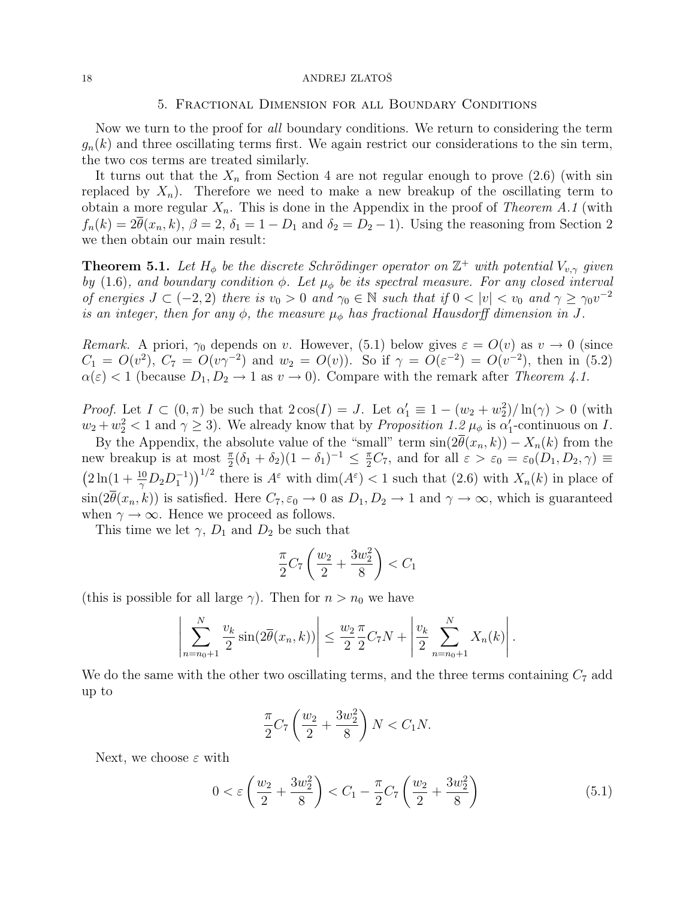## 5. Fractional Dimension for all Boundary Conditions

Now we turn to the proof for all boundary conditions. We return to considering the term  $g_n(k)$  and three oscillating terms first. We again restrict our considerations to the sin term, the two cos terms are treated similarly.

It turns out that the  $X_n$  from Section 4 are not regular enough to prove  $(2.6)$  (with sin replaced by  $X_n$ ). Therefore we need to make a new breakup of the oscillating term to obtain a more regular  $X_n$ . This is done in the Appendix in the proof of Theorem A.1 (with  $f_n(k) = 2\overline{\theta}(x_n, k), \beta = 2, \delta_1 = 1 - D_1$  and  $\delta_2 = D_2 - 1$ . Using the reasoning from Section 2 we then obtain our main result:

**Theorem 5.1.** Let  $H_{\phi}$  be the discrete Schrödinger operator on  $\mathbb{Z}^+$  with potential  $V_{v,\gamma}$  given by (1.6), and boundary condition  $\phi$ . Let  $\mu_{\phi}$  be its spectral measure. For any closed interval of energies  $J \subset (-2,2)$  there is  $v_0 > 0$  and  $\gamma_0 \in \mathbb{N}$  such that if  $0 < |v| < v_0$  and  $\gamma \geq \gamma_0 v^{-2}$ is an integer, then for any  $\phi$ , the measure  $\mu_{\phi}$  has fractional Hausdorff dimension in J.

Remark. A priori,  $\gamma_0$  depends on v. However, (5.1) below gives  $\varepsilon = O(v)$  as  $v \to 0$  (since  $C_1 = O(v^2)$ ,  $C_7 = O(v\gamma^{-2})$  and  $w_2 = O(v)$ ). So if  $\gamma = O(\varepsilon^{-2}) = O(v^{-2})$ , then in (5.2)  $\alpha(\varepsilon) < 1$  (because  $D_1, D_2 \to 1$  as  $v \to 0$ ). Compare with the remark after Theorem 4.1.

*Proof.* Let  $I \subset (0, \pi)$  be such that  $2\cos(I) = J$ . Let  $\alpha'_1 \equiv 1 - (w_2 + w_2^2)/\ln(\gamma) > 0$  (with  $w_2 + w_2^2 < 1$  and  $\gamma \ge 3$ ). We already know that by *Proposition 1.2*  $\mu_{\phi}$  is  $\alpha'_1$ -continuous on *I*.

By the Appendix, the absolute value of the "small" term  $sin(2\overline{\theta}(x_n, k)) - X_n(k)$  from the new breakup is at most  $\frac{\pi}{2}(\delta_1 + \delta_2)(1 - \delta_1)^{-1} \leq \frac{\pi}{2}C_7$ , and for all  $\varepsilon > \varepsilon_0 = \varepsilon_0(D_1, D_2, \gamma) \equiv$ ··<br>∶ 2ln(1 +  $\frac{10}{\gamma}D_2D_1^{-1}$ ))<sup>1/2</sup> there is  $A^{\varepsilon}$  with dim( $A^{\varepsilon}$ ) < 1 such that (2.6) with  $X_n(k)$  in place of  $\sin(2\overline{\theta}(x_n, k))$  is satisfied. Here  $C_7, \varepsilon_0 \to 0$  as  $D_1, D_2 \to 1$  and  $\gamma \to \infty$ , which is guaranteed when  $\gamma \to \infty$ . Hence we proceed as follows.

This time we let  $\gamma$ ,  $D_1$  and  $D_2$  be such that

$$
\frac{\pi}{2}C_7\left(\frac{w_2}{2} + \frac{3w_2^2}{8}\right) < C_1
$$

(this is possible for all large  $\gamma$ ). Then for  $n > n_0$  we have

$$
\left| \sum_{n=n_0+1}^N \frac{v_k}{2} \sin(2\overline{\theta}(x_n, k)) \right| \le \frac{w_2}{2} \frac{\pi}{2} C_7 N + \left| \frac{v_k}{2} \sum_{n=n_0+1}^N X_n(k) \right|.
$$

We do the same with the other two oscillating terms, and the three terms containing  $C_7$  add up to

$$
\frac{\pi}{2}C_7\left(\frac{w_2}{2} + \frac{3w_2^2}{8}\right)N < C_1N.
$$

Next, we choose  $\varepsilon$  with

$$
0 < \varepsilon \left(\frac{w_2}{2} + \frac{3w_2^2}{8}\right) < C_1 - \frac{\pi}{2} C_7 \left(\frac{w_2}{2} + \frac{3w_2^2}{8}\right) \tag{5.1}
$$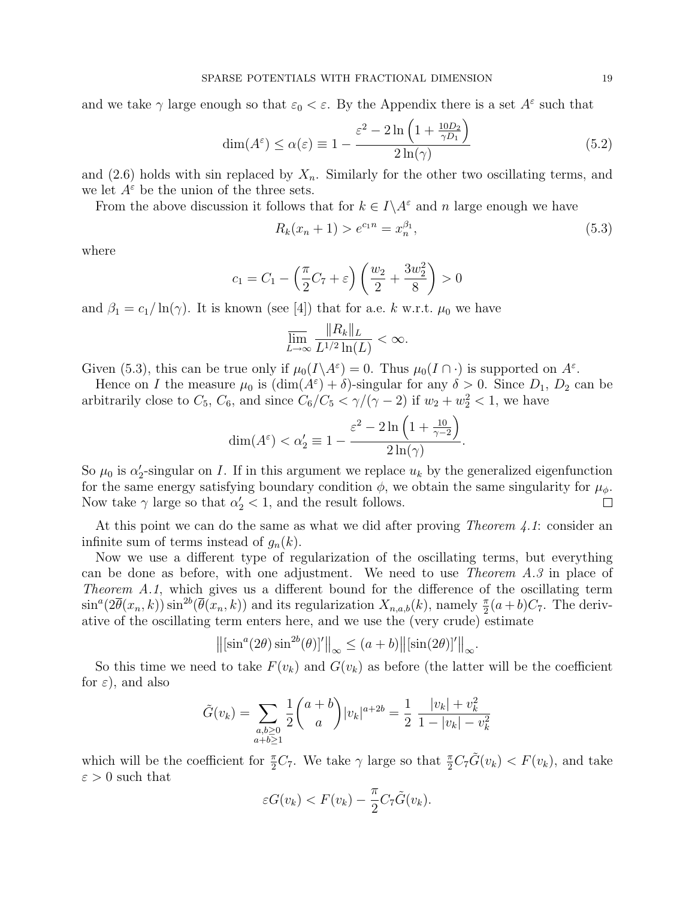and we take  $\gamma$  large enough so that  $\varepsilon_0 < \varepsilon$ . By the Appendix there is a set  $A^{\varepsilon}$  such that

$$
\dim(A^{\varepsilon}) \le \alpha(\varepsilon) \equiv 1 - \frac{\varepsilon^2 - 2\ln\left(1 + \frac{10D_2}{\gamma D_1}\right)}{2\ln(\gamma)}
$$
(5.2)

and (2.6) holds with sin replaced by  $X_n$ . Similarly for the other two oscillating terms, and we let  $A^{\varepsilon}$  be the union of the three sets.

From the above discussion it follows that for  $k \in I \backslash A^{\varepsilon}$  and n large enough we have

$$
R_k(x_n + 1) > e^{c_1 n} = x_n^{\beta_1},\tag{5.3}
$$

where

$$
c_1 = C_1 - \left(\frac{\pi}{2}C_7 + \varepsilon\right)\left(\frac{w_2}{2} + \frac{3w_2^2}{8}\right) > 0
$$

and  $\beta_1 = c_1/\ln(\gamma)$ . It is known (see [4]) that for a.e. k w.r.t.  $\mu_0$  we have

$$
\overline{\lim_{L\to\infty}}\frac{\|R_k\|_L}{L^{1/2}\ln(L)} < \infty.
$$

Given (5.3), this can be true only if  $\mu_0(I \setminus A^\varepsilon) = 0$ . Thus  $\mu_0(I \cap \cdot)$  is supported on  $A^\varepsilon$ .

Hence on I the measure  $\mu_0$  is  $(\dim(A^{\varepsilon}) + \delta)$ -singular for any  $\delta > 0$ . Since  $D_1$ ,  $D_2$  can be arbitrarily close to  $C_5$ ,  $C_6$ , and since  $C_6/C_5 < \gamma/(\gamma - 2)$  if  $w_2 + w_2^2 < 1$ , we have

$$
\dim(A^{\varepsilon}) < \alpha_2' \equiv 1 - \frac{\varepsilon^2 - 2\ln\left(1 + \frac{10}{\gamma - 2}\right)}{2\ln(\gamma)}.
$$

So  $\mu_0$  is  $\alpha'_2$ -singular on I. If in this argument we replace  $u_k$  by the generalized eigenfunction for the same energy satisfying boundary condition  $\phi$ , we obtain the same singularity for  $\mu_{\phi}$ . Now take  $\gamma$  large so that  $\alpha'_2 < 1$ , and the result follows.  $\Box$ 

At this point we can do the same as what we did after proving *Theorem 4.1*: consider an infinite sum of terms instead of  $g_n(k)$ .

Now we use a different type of regularization of the oscillating terms, but everything can be done as before, with one adjustment. We need to use Theorem A.3 in place of Theorem A.1, which gives us a different bound for the difference of the oscillating term  $\sin^a(2\overline{\theta}(x_n,k))\sin^{2b}(\overline{\theta}(x_n,k))$  and its regularization  $X_{n,a,b}(k)$ , namely  $\frac{\pi}{2}(a+b)C_7$ . The derivative of the oscillating term enters here, and we use the (very crude) estimate  $\frac{1}{\sqrt{2}}$  (a)  $\frac{1}{\sqrt{2}}$  (b)  $\frac{1}{\sqrt{2}}$  (c)  $\frac{1}{\sqrt{2}}$  (c)  $\frac{1}{\sqrt{2}}$ 

$$
\left\| \left[\sin^a(2\theta)\sin^{2b}(\theta)\right]'\right\|_{\infty} \le (a+b)\left\| \left[\sin(2\theta)\right]'\right\|_{\infty}.
$$

So this time we need to take  $F(v_k)$  and  $G(v_k)$  as before (the latter will be the coefficient for  $\varepsilon$ ), and also

$$
\tilde{G}(v_k) = \sum_{\substack{a,b \ge 0 \\ a+b \ge 1}} \frac{1}{2} {a+b \choose a} |v_k|^{a+2b} = \frac{1}{2} \frac{|v_k| + v_k^2}{1 - |v_k| - v_k^2}
$$

which will be the coefficient for  $\frac{\pi}{2}C_7$ . We take  $\gamma$  large so that  $\frac{\pi}{2}C_7\tilde{G}(v_k) < F(v_k)$ , and take  $\varepsilon > 0$  such that

$$
\varepsilon G(v_k) < F(v_k) - \frac{\pi}{2} C_7 \tilde{G}(v_k).
$$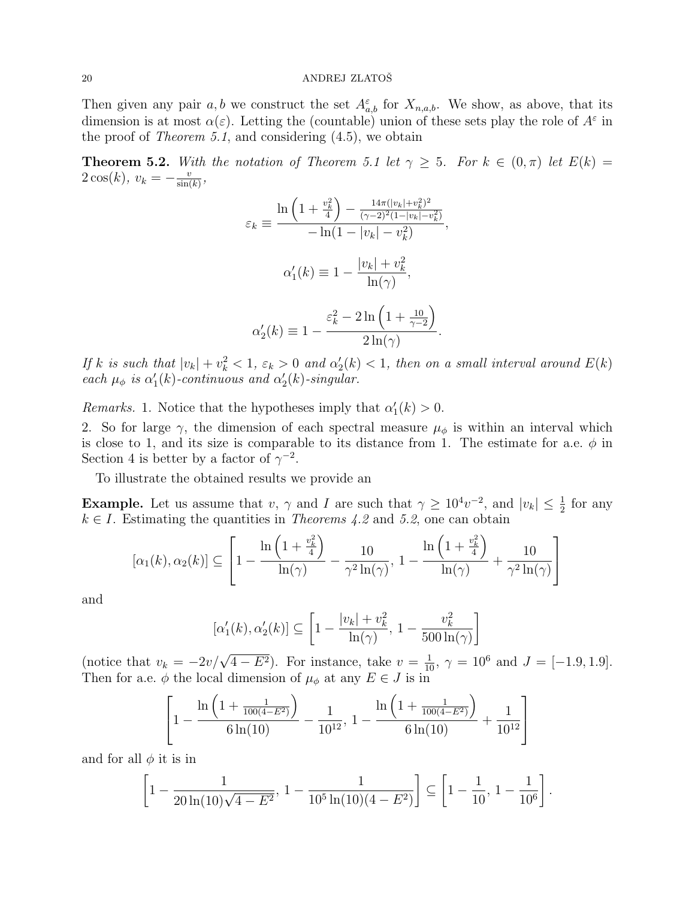Then given any pair a, b we construct the set  $A_{a,b}^{\varepsilon}$  for  $X_{n,a,b}$ . We show, as above, that its dimension is at most  $\alpha(\varepsilon)$ . Letting the (countable) union of these sets play the role of  $A^{\varepsilon}$  in the proof of *Theorem 5.1*, and considering  $(4.5)$ , we obtain

**Theorem 5.2.** With the notation of Theorem 5.1 let  $\gamma \geq 5$ . For  $k \in (0, \pi)$  let  $E(k) =$  $2\cos(k), v_k = -\frac{v}{\sin(k)}$  $\frac{v}{\sin(k)},$ 

$$
\varepsilon_k \equiv \frac{\ln\left(1 + \frac{v_k^2}{4}\right) - \frac{14\pi(|v_k| + v_k^2)^2}{(\gamma - 2)^2 (1 - |v_k| - v_k^2)}}{-\ln(1 - |v_k| - v_k^2)},
$$

$$
\alpha'_1(k) \equiv 1 - \frac{|v_k| + v_k^2}{\ln(\gamma)},
$$

$$
\alpha'_2(k) \equiv 1 - \frac{\varepsilon_k^2 - 2\ln\left(1 + \frac{10}{\gamma - 2}\right)}{2\ln(\gamma)}.
$$

If k is such that  $|v_k| + v_k^2 < 1$ ,  $\varepsilon_k > 0$  and  $\alpha'_2(k) < 1$ , then on a small interval around  $E(k)$ each  $\mu_{\phi}$  is  $\alpha'_{1}(k)$ -continuous and  $\alpha'_{2}(k)$ -singular.

Remarks. 1. Notice that the hypotheses imply that  $\alpha'_1(k) > 0$ .

2. So for large  $\gamma$ , the dimension of each spectral measure  $\mu_{\phi}$  is within an interval which is close to 1, and its size is comparable to its distance from 1. The estimate for a.e.  $\phi$  in Section 4 is better by a factor of  $\gamma^{-2}$ .

To illustrate the obtained results we provide an

**Example.** Let us assume that v,  $\gamma$  and I are such that  $\gamma \geq 10^4 v^{-2}$ , and  $|v_k| \leq \frac{1}{2}$  for any  $k \in I$ . Estimating the quantities in *Theorems 4.2* and 5.2, one can obtain

$$
[\alpha_1(k), \alpha_2(k)] \subseteq \left[1 - \frac{\ln\left(1 + \frac{v_k^2}{4}\right)}{\ln(\gamma)} - \frac{10}{\gamma^2 \ln(\gamma)}, 1 - \frac{\ln\left(1 + \frac{v_k^2}{4}\right)}{\ln(\gamma)} + \frac{10}{\gamma^2 \ln(\gamma)}\right]
$$

and

$$
[\alpha_1'(k), \alpha_2'(k)] \subseteq \left[1 - \frac{|v_k| + v_k^2}{\ln(\gamma)}, 1 - \frac{v_k^2}{500 \ln(\gamma)}\right]
$$

(notice that  $v_k = -2v/\sqrt{4 - E^2}$ ). For instance, take  $v = \frac{1}{10}$ ,  $\gamma = 10^6$  and  $J = [-1.9, 1.9]$ . Then for a.e.  $\phi$  the local dimension of  $\mu_{\phi}$  at any  $E \in J$  is in

$$
\left[1 - \frac{\ln\left(1 + \frac{1}{100(4 - E^2)}\right)}{6\ln(10)} - \frac{1}{10^{12}}, 1 - \frac{\ln\left(1 + \frac{1}{100(4 - E^2)}\right)}{6\ln(10)} + \frac{1}{10^{12}}\right]
$$

and for all  $\phi$  it is in

$$
\left[1 - \frac{1}{20\ln(10)\sqrt{4 - E^2}}, 1 - \frac{1}{10^5\ln(10)(4 - E^2)}\right] \subseteq \left[1 - \frac{1}{10}, 1 - \frac{1}{10^6}\right].
$$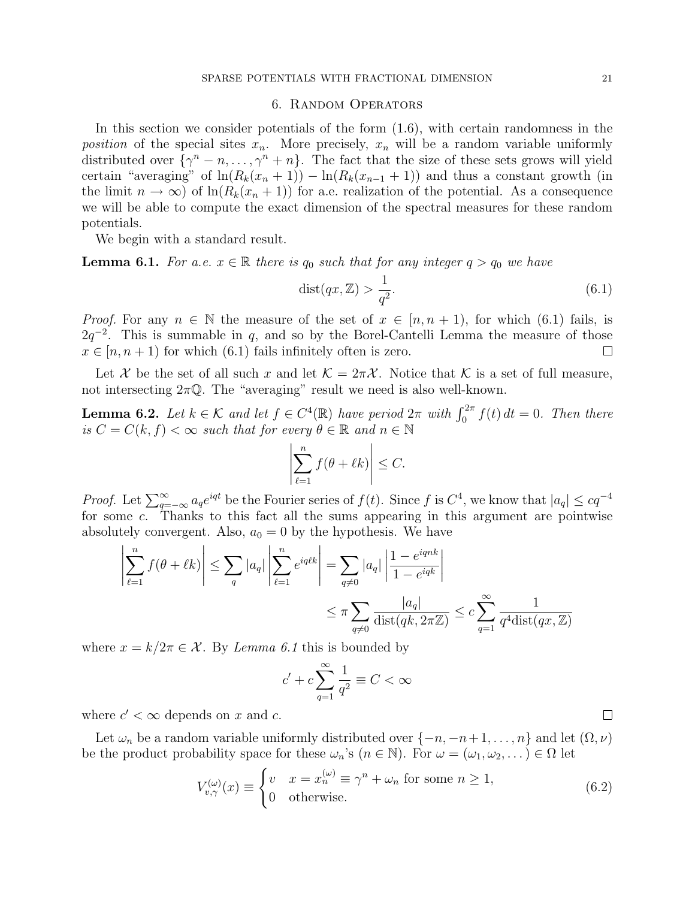### 6. Random Operators

In this section we consider potentials of the form (1.6), with certain randomness in the position of the special sites  $x_n$ . More precisely,  $x_n$  will be a random variable uniformly distributed over  $\{\gamma^n - n, \ldots, \gamma^n + n\}$ . The fact that the size of these sets grows will yield certain "averaging" of  $\ln(R_k(x_n+1)) - \ln(R_k(x_{n-1}+1))$  and thus a constant growth (in the limit  $n \to \infty$ ) of  $\ln(R_k(x_n + 1))$  for a.e. realization of the potential. As a consequence we will be able to compute the exact dimension of the spectral measures for these random potentials.

We begin with a standard result.

**Lemma 6.1.** For a.e.  $x \in \mathbb{R}$  there is  $q_0$  such that for any integer  $q > q_0$  we have

$$
dist(qx, \mathbb{Z}) > \frac{1}{q^2}.
$$
\n(6.1)

*Proof.* For any  $n \in \mathbb{N}$  the measure of the set of  $x \in [n, n + 1)$ , for which (6.1) fails, is  $2q^{-2}$ . This is summable in q, and so by the Borel-Cantelli Lemma the measure of those  $x \in [n, n + 1)$  for which (6.1) fails infinitely often is zero.  $\Box$ 

Let X be the set of all such x and let  $\mathcal{K} = 2\pi\mathcal{X}$ . Notice that K is a set of full measure, not intersecting  $2\pi Q$ . The "averaging" result we need is also well-known.

**Lemma 6.2.** Let  $k \in \mathcal{K}$  and let  $f \in C^4(\mathbb{R})$  have period  $2\pi$  with  $\int_0^{2\pi} f(t) dt = 0$ . Then there is  $C = C(k, f) < \infty$  such that for every  $\theta \in \mathbb{R}$  and  $n \in \mathbb{N}$ ¯ ¯

$$
\left|\sum_{\ell=1}^n f(\theta + \ell k)\right| \le C.
$$

*Proof.* Let  $\sum_{q=-\infty}^{\infty} a_q e^{iqt}$  be the Fourier series of  $f(t)$ . Since f is  $C^4$ , we know that  $|a_q| \leq cq^{-4}$ for some c. Thanks to this fact all the sums appearing in this argument are pointwise absolutely convergent. Also,  $a_0 = 0$  by the hypothesis. We have

$$
\left| \sum_{\ell=1}^{n} f(\theta + \ell k) \right| \leq \sum_{q} |a_q| \left| \sum_{\ell=1}^{n} e^{iq\ell k} \right| = \sum_{q \neq 0} |a_q| \left| \frac{1 - e^{iqnk}}{1 - e^{iqk}} \right|
$$
  

$$
\leq \pi \sum_{q \neq 0} \frac{|a_q|}{\text{dist}(qk, 2\pi \mathbb{Z})} \leq c \sum_{q=1}^{\infty} \frac{1}{q^4 \text{dist}(qx, \mathbb{Z})}
$$

where  $x = k/2\pi \in \mathcal{X}$ . By Lemma 6.1 this is bounded by

$$
c' + c \sum_{q=1}^{\infty} \frac{1}{q^2} \equiv C < \infty
$$

where  $c' < \infty$  depends on x and c.

Let  $\omega_n$  be a random variable uniformly distributed over  $\{-n, -n+1, \ldots, n\}$  and let  $(\Omega, \nu)$ be the product probability space for these  $\omega_n$ 's  $(n \in \mathbb{N})$ . For  $\omega = (\omega_1, \omega_2, \dots) \in \Omega$  let  $\frac{1}{2}$ 

$$
V_{v,\gamma}^{(\omega)}(x) \equiv \begin{cases} v & x = x_n^{(\omega)} \equiv \gamma^n + \omega_n \text{ for some } n \ge 1, \\ 0 & \text{otherwise.} \end{cases}
$$
 (6.2)

 $\Box$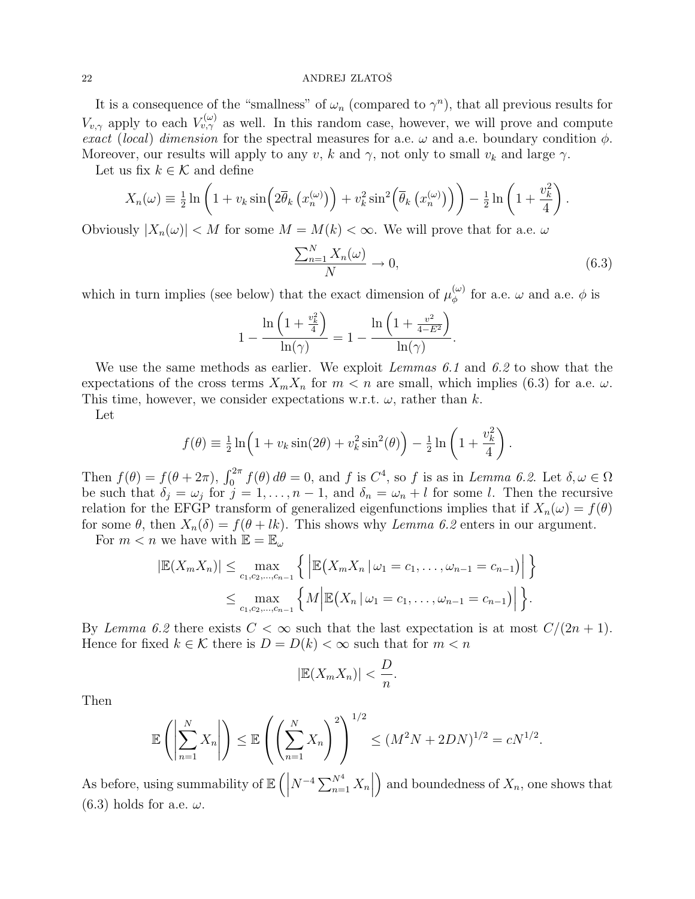It is a consequence of the "smallness" of  $\omega_n$  (compared to  $\gamma^n$ ), that all previous results for  $V_{v,\gamma}$  apply to each  $V_{v,\gamma}^{(\omega)}$  as well. In this random case, however, we will prove and compute exact (local) dimension for the spectral measures for a.e.  $\omega$  and a.e. boundary condition  $\phi$ . Moreover, our results will apply to any v, k and  $\gamma$ , not only to small  $v_k$  and large  $\gamma$ .

Let us fix  $k \in \mathcal{K}$  and define

$$
X_n(\omega) \equiv \frac{1}{2} \ln \left( 1 + v_k \sin \left( 2 \overline{\theta}_k \left( x_n^{(\omega)} \right) \right) + v_k^2 \sin^2 \left( \overline{\theta}_k \left( x_n^{(\omega)} \right) \right) \right) - \frac{1}{2} \ln \left( 1 + \frac{v_k^2}{4} \right).
$$

Obviously  $|X_n(\omega)| < M$  for some  $M = M(k) < \infty$ . We will prove that for a.e.  $\omega$ 

$$
\frac{\sum_{n=1}^{N} X_n(\omega)}{N} \to 0,
$$
\n(6.3)

which in turn implies (see below) that the exact dimension of  $\mu_{\phi}^{(\omega)}$  $\phi_{\phi}^{(\omega)}$  for a.e.  $\omega$  and a.e.  $\phi$  is

$$
1 - \frac{\ln\left(1 + \frac{v_k^2}{4}\right)}{\ln(\gamma)} = 1 - \frac{\ln\left(1 + \frac{v^2}{4 - E^2}\right)}{\ln(\gamma)}.
$$

We use the same methods as earlier. We exploit Lemmas 6.1 and 6.2 to show that the expectations of the cross terms  $X_m X_n$  for  $m < n$  are small, which implies (6.3) for a.e.  $\omega$ . This time, however, we consider expectations w.r.t.  $\omega$ , rather than k.

Let

$$
f(\theta) \equiv \frac{1}{2} \ln \left( 1 + v_k \sin(2\theta) + v_k^2 \sin^2(\theta) \right) - \frac{1}{2} \ln \left( 1 + \frac{v_k^2}{4} \right).
$$

Then  $f(\theta) = f(\theta + 2\pi)$ ,  $\int_0^{2\pi} f(\theta) d\theta = 0$ , and f is  $C^4$ , so f is as in Lemma 6.2. Let  $\delta, \omega \in \Omega$ be such that  $\delta_j = \omega_j$  for  $j = 1, \ldots, n-1$ , and  $\delta_n = \omega_n + l$  for some l. Then the recursive relation for the EFGP transform of generalized eigenfunctions implies that if  $X_n(\omega) = f(\theta)$ for some  $\theta$ , then  $X_n(\delta) = f(\theta + lk)$ . This shows why Lemma 6.2 enters in our argument.

For  $m < n$  we have with  $\mathbb{E} = \mathbb{E}_{\omega}$ 

$$
|\mathbb{E}(X_m X_n)| \leq \max_{c_1, c_2, ..., c_{n-1}} \left\{ \left| \mathbb{E}(X_m X_n | \omega_1 = c_1, ..., \omega_{n-1} = c_{n-1}) \right| \right\}
$$
  

$$
\leq \max_{c_1, c_2, ..., c_{n-1}} \left\{ M \left| \mathbb{E}(X_n | \omega_1 = c_1, ..., \omega_{n-1} = c_{n-1}) \right| \right\}.
$$

By Lemma 6.2 there exists  $C < \infty$  such that the last expectation is at most  $C/(2n+1)$ . Hence for fixed  $k \in \mathcal{K}$  there is  $D = D(k) < \infty$  such that for  $m < n$ 

$$
|\mathbb{E}(X_m X_n)| < \frac{D}{n}.
$$

Then

$$
\mathbb{E}\left(\left|\sum_{n=1}^{N} X_n\right|\right) \le \mathbb{E}\left(\left(\sum_{n=1}^{N} X_n\right)^2\right)^{1/2} \le (M^2N + 2DN)^{1/2} = cN^{1/2}.
$$

As before, using summability of E  $\left( \left| N^{-4} \sum_{n=1}^{N^4} X_n \right| \right)$  $\begin{array}{c} \begin{array}{c} \begin{array}{c} \end{array} \\ \begin{array}{c} \end{array} \end{array} \end{array}$ and boundedness of  $X_n$ , one shows that  $(6.3)$  holds for a.e.  $\omega$ .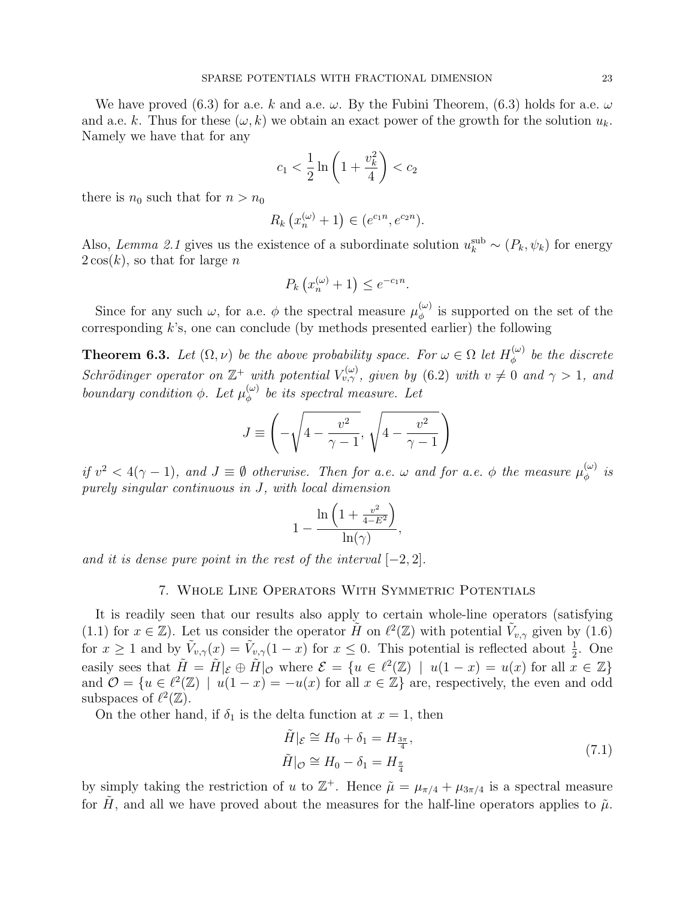We have proved (6.3) for a.e. k and a.e.  $\omega$ . By the Fubini Theorem, (6.3) holds for a.e.  $\omega$ and a.e. k. Thus for these  $(\omega, k)$  we obtain an exact power of the growth for the solution  $u_k$ . Namely we have that for any

$$
c_1 < \frac{1}{2} \ln \left( 1 + \frac{v_k^2}{4} \right) < c_2
$$

there is  $n_0$  such that for  $n > n_0$ 

$$
R_k(x_n^{(\omega)} + 1) \in (e^{c_1 n}, e^{c_2 n}).
$$

Also, Lemma 2.1 gives us the existence of a subordinate solution  $u_k^{\text{sub}} \sim (P_k, \psi_k)$  for energy  $2\cos(k)$ , so that for large n

$$
P_k\left(x_n^{(\omega)} + 1\right) \le e^{-c_1 n}.
$$

Since for any such  $\omega$ , for a.e.  $\phi$  the spectral measure  $\mu_{\phi}^{(\omega)}$  $\phi_{\phi}^{(\omega)}$  is supported on the set of the corresponding  $k$ 's, one can conclude (by methods presented earlier) the following

**Theorem 6.3.** Let  $(\Omega, \nu)$  be the above probability space. For  $\omega \in \Omega$  let  $H_{\phi}^{(\omega)}$  $\phi^{(\omega)}$  be the discrete Schrödinger operator on  $\mathbb{Z}^+$  with potential  $V_{v,\gamma}^{(\omega)}$ , given by (6.2) with  $v \neq 0$  and  $\gamma > 1$ , and boundary condition  $\phi$ . Let  $\mu_{\phi}^{(\omega)}$  $\phi_{\phi}^{(\omega)}$  be its spectral measure. Let

$$
J \equiv \left( -\sqrt{4 - \frac{v^2}{\gamma - 1}}, \sqrt{4 - \frac{v^2}{\gamma - 1}} \right)
$$

if  $v^2 < 4(\gamma - 1)$ , and  $J \equiv \emptyset$  otherwise. Then for a.e.  $\omega$  and for a.e.  $\phi$  the measure  $\mu_{\phi}^{(\omega)}$  $\stackrel{(\omega)}{\phi}$  is purely singular continuous in J, with local dimension

$$
1 - \frac{\ln\left(1 + \frac{v^2}{4 - E^2}\right)}{\ln(\gamma)},
$$

and it is dense pure point in the rest of the interval  $[-2, 2]$ .

## 7. Whole Line Operators With Symmetric Potentials

It is readily seen that our results also apply to certain whole-line operators (satisfying (1.1) for  $x \in \mathbb{Z}$ ). Let us consider the operator  $\tilde{H}$  on  $\ell^2(\mathbb{Z})$  with potential  $\tilde{V}_{v,\gamma}$  given by (1.6) for  $x \ge 1$  and by  $\tilde{V}_{v,\gamma}(x) = \tilde{V}_{v,\gamma}(1-x)$  for  $x \le 0$ . This potential is reflected about  $\frac{1}{2}$ . One easily sees that  $\tilde{H} = \tilde{H}|_{\mathcal{E}} \oplus \tilde{H}|_{\mathcal{O}}$  where  $\mathcal{E} = \{u \in \ell^2(\mathbb{Z}) \mid u(1-x) = u(x) \text{ for all } x \in \mathbb{Z}\}\$ and  $\mathcal{O} = \{u \in \ell^2(\mathbb{Z}) \mid u(1-x) = -u(x) \text{ for all } x \in \mathbb{Z}\}\$ are, respectively, the even and odd subspaces of  $\ell^2(\mathbb{Z})$ .

On the other hand, if  $\delta_1$  is the delta function at  $x = 1$ , then

$$
\tilde{H}|_{\mathcal{E}} \cong H_0 + \delta_1 = H_{\frac{3\pi}{4}},
$$
\n
$$
\tilde{H}|_{\mathcal{O}} \cong H_0 - \delta_1 = H_{\frac{\pi}{4}} \tag{7.1}
$$

by simply taking the restriction of u to  $\mathbb{Z}^+$ . Hence  $\tilde{\mu} = \mu_{\pi/4} + \mu_{3\pi/4}$  is a spectral measure for H, and all we have proved about the measures for the half-line operators applies to  $\tilde{\mu}$ .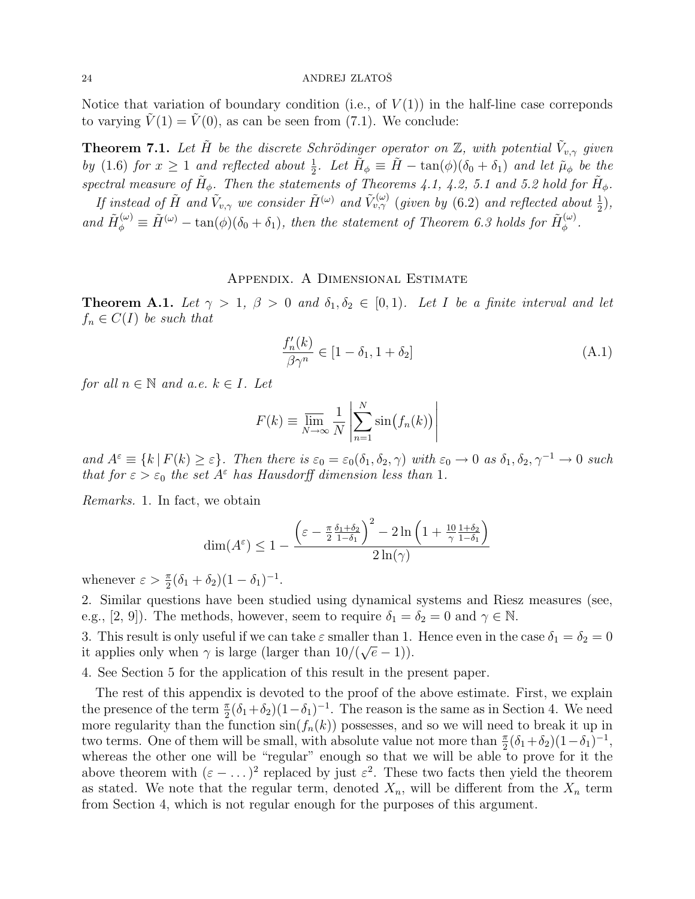Notice that variation of boundary condition (i.e., of  $V(1)$ ) in the half-line case correponds to varying  $\tilde{V}(1) = \tilde{V}(0)$ , as can be seen from (7.1). We conclude:

**Theorem 7.1.** Let  $\tilde{H}$  be the discrete Schrödinger operator on  $\mathbb{Z}$ , with potential  $\tilde{V}_{v,\gamma}$  given by (1.6) for  $x \ge 1$  and reflected about  $\frac{1}{2}$ . Let  $\tilde{H}_{\phi} \equiv \tilde{H} - \tan(\phi)(\delta_0 + \delta_1)$  and let  $\tilde{\mu}_{\phi}$  be the spectral measure of  $H_{\phi}$ . Then the statements of Theorems 4.1, 4.2, 5.1 and 5.2 hold for  $H_{\phi}$ .

If instead of  $\tilde{H}$  and  $\tilde{V}_{v,\gamma}$  we consider  $\tilde{H}^{(\omega)}$  and  $\tilde{V}_{v,\gamma}^{(\omega)}$  (given by (6.2) and reflected about  $\frac{1}{2}$ ), and  $\tilde{H}_{\phi}^{(\omega)} \equiv \tilde{H}^{(\omega)} - \tan(\phi)(\delta_0 + \delta_1)$ , then the statement of Theorem 6.3 holds for  $\tilde{H}_{\phi}^{(\omega)}$  $\overset{(\omega)}{\phi}$  .

## Appendix. A Dimensional Estimate

**Theorem A.1.** Let  $\gamma > 1$ ,  $\beta > 0$  and  $\delta_1, \delta_2 \in [0,1)$ . Let I be a finite interval and let  $f_n \in C(I)$  be such that

$$
\frac{f_n'(k)}{\beta \gamma^n} \in [1 - \delta_1, 1 + \delta_2]
$$
\n(A.1)

for all  $n \in \mathbb{N}$  and a.e.  $k \in I$ . Let

$$
F(k) \equiv \overline{\lim_{N \to \infty}} \frac{1}{N} \left| \sum_{n=1}^{N} \sin(f_n(k)) \right|
$$

and  $A^{\varepsilon} \equiv \{k \mid F(k) \geq \varepsilon\}$ . Then there is  $\varepsilon_0 = \varepsilon_0(\delta_1, \delta_2, \gamma)$  with  $\varepsilon_0 \to 0$  as  $\delta_1, \delta_2, \gamma^{-1} \to 0$  such that for  $\varepsilon > \varepsilon_0$  the set  $A^{\varepsilon}$  has Hausdorff dimension less than 1.

Remarks. 1. In fact, we obtain

$$
\dim(A^{\varepsilon}) \leq 1 - \frac{\left(\varepsilon - \frac{\pi}{2} \frac{\delta_1 + \delta_2}{1 - \delta_1}\right)^2 - 2\ln\left(1 + \frac{10}{\gamma} \frac{1 + \delta_2}{1 - \delta_1}\right)}{2\ln(\gamma)}
$$

whenever  $\varepsilon > \frac{\pi}{2}(\delta_1 + \delta_2)(1 - \delta_1)^{-1}$ .

2. Similar questions have been studied using dynamical systems and Riesz measures (see, e.g., [2, 9]). The methods, however, seem to require  $\delta_1 = \delta_2 = 0$  and  $\gamma \in \mathbb{N}$ .

3. This result is only useful if we can take  $\varepsilon$  smaller than 1. Hence even in the case  $\delta_1 = \delta_2 = 0$ it applies only when  $\gamma$  is large (larger than  $10/(\sqrt{e}-1)$ ).

4. See Section 5 for the application of this result in the present paper.

The rest of this appendix is devoted to the proof of the above estimate. First, we explain the presence of the term  $\frac{\pi}{2}(\delta_1+\delta_2)(1-\delta_1)^{-1}$ . The reason is the same as in Section 4. We need more regularity than the function  $sin(f_n(k))$  possesses, and so we will need to break it up in two terms. One of them will be small, with absolute value not more than  $\frac{\pi}{2}(\delta_1+\delta_2)(1-\delta_1)^{-1}$ , whereas the other one will be "regular" enough so that we will be able to prove for it the above theorem with  $(\varepsilon - \dots)^2$  replaced by just  $\varepsilon^2$ . These two facts then yield the theorem as stated. We note that the regular term, denoted  $X_n$ , will be different from the  $X_n$  term from Section 4, which is not regular enough for the purposes of this argument.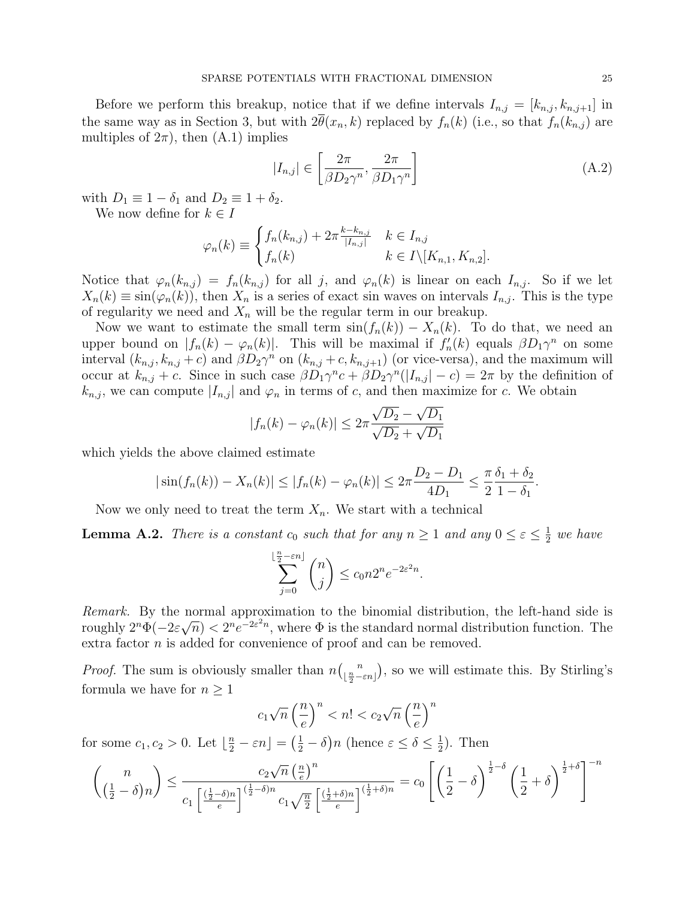Before we perform this breakup, notice that if we define intervals  $I_{n,j} = [k_{n,j}, k_{n,j+1}]$  in the same way as in Section 3, but with  $2\theta(x_n, k)$  replaced by  $f_n(k)$  (i.e., so that  $f_n(k_{n,j})$  are multiples of  $2\pi$ , then  $(A.1)$  implies  $\overline{a}$ 

$$
|I_{n,j}| \in \left[\frac{2\pi}{\beta D_2 \gamma^n}, \frac{2\pi}{\beta D_1 \gamma^n}\right]
$$
 (A.2)

with  $D_1 \equiv 1 - \delta_1$  and  $D_2 \equiv 1 + \delta_2$ .

We now define for  $k \in I$ 

$$
\varphi_n(k) \equiv \begin{cases} f_n(k_{n,j}) + 2\pi \frac{k - k_{n,j}}{|I_{n,j}|} & k \in I_{n,j} \\ f_n(k) & k \in I \setminus [K_{n,1}, K_{n,2}]. \end{cases}
$$

Notice that  $\varphi_n(k_{n,j}) = f_n(k_{n,j})$  for all j, and  $\varphi_n(k)$  is linear on each  $I_{n,j}$ . So if we let  $X_n(k) \equiv \sin(\varphi_n(k))$ , then  $X_n$  is a series of exact sin waves on intervals  $I_{n,j}$ . This is the type of regularity we need and  $X_n$  will be the regular term in our breakup.

Now we want to estimate the small term  $sin(f_n(k)) - X_n(k)$ . To do that, we need an upper bound on  $|f_n(k) - \varphi_n(k)|$ . This will be maximal if  $f'_n(k)$  equals  $\beta D_1 \gamma^n$  on some interval  $(k_{n,j}, k_{n,j} + c)$  and  $\beta D_2 \gamma^n$  on  $(k_{n,j} + c, k_{n,j+1})$  (or vice-versa), and the maximum will occur at  $k_{n,j} + c$ . Since in such case  $\beta D_1 \gamma^n c + \beta D_2 \gamma^n (|I_{n,j}| - c) = 2\pi$  by the definition of  $k_{n,j}$ , we can compute  $|I_{n,j}|$  and  $\varphi_n$  in terms of c, and then maximize for c. We obtain

$$
|f_n(k) - \varphi_n(k)| \leq 2\pi \frac{\sqrt{D_2} - \sqrt{D_1}}{\sqrt{D_2} + \sqrt{D_1}}
$$

which yields the above claimed estimate

$$
|\sin(f_n(k)) - X_n(k)| \le |f_n(k) - \varphi_n(k)| \le 2\pi \frac{D_2 - D_1}{4D_1} \le \frac{\pi}{2} \frac{\delta_1 + \delta_2}{1 - \delta_1}.
$$

Now we only need to treat the term  $X_n$ . We start with a technical

**Lemma A.2.** There is a constant  $c_0$  such that for any  $n \geq 1$  and any  $0 \leq \varepsilon \leq \frac{1}{2}$  $\frac{1}{2}$  we have

$$
\sum_{j=0}^{\lfloor \frac{n}{2} - \varepsilon n \rfloor} \binom{n}{j} \le c_0 n 2^n e^{-2\varepsilon^2 n}.
$$

Remark. By the normal approximation to the binomial distribution, the left-hand side is roughly  $2^n\Phi(-2\varepsilon\sqrt{n}) < 2^n e^{-2\varepsilon^2 n}$ , where  $\Phi$  is the standard normal distribution function. The extra factor n is added for convenience of proof and can be removed.

*Proof.* The sum is obviously smaller than  $n$  $\binom{n}{r}$  $\lfloor \frac{n}{2} \!-\! \varepsilon n \rfloor$ ¢ , so we will estimate this. By Stirling's formula we have for  $n \geq 1$ 

$$
c_1\sqrt{n}\left(\frac{n}{e}\right)^n < n! < c_2\sqrt{n}\left(\frac{n}{e}\right)^n
$$

for some  $c_1, c_2 > 0$ . Let  $\lfloor \frac{n}{2} - \varepsilon n \rfloor =$  $\left(\frac{1}{2} - \delta\right)$ *n* (hence  $\varepsilon \leq \delta \leq \frac{1}{2}$  $(\frac{1}{2})$ . Then

$$
\binom{n}{\left(\frac{1}{2}-\delta\right)n} \le \frac{c_2\sqrt{n}\left(\frac{n}{e}\right)^n}{c_1\left[\frac{\left(\frac{1}{2}-\delta\right)n}{e}\right]^{\left(\frac{1}{2}-\delta\right)n}c_1\sqrt{\frac{n}{2}}\left[\frac{\left(\frac{1}{2}+\delta\right)n}{e}\right]^{\left(\frac{1}{2}+\delta\right)n}} = c_0\left[\left(\frac{1}{2}-\delta\right)^{\frac{1}{2}-\delta}\left(\frac{1}{2}+\delta\right)^{\frac{1}{2}+\delta}\right]^{-n}
$$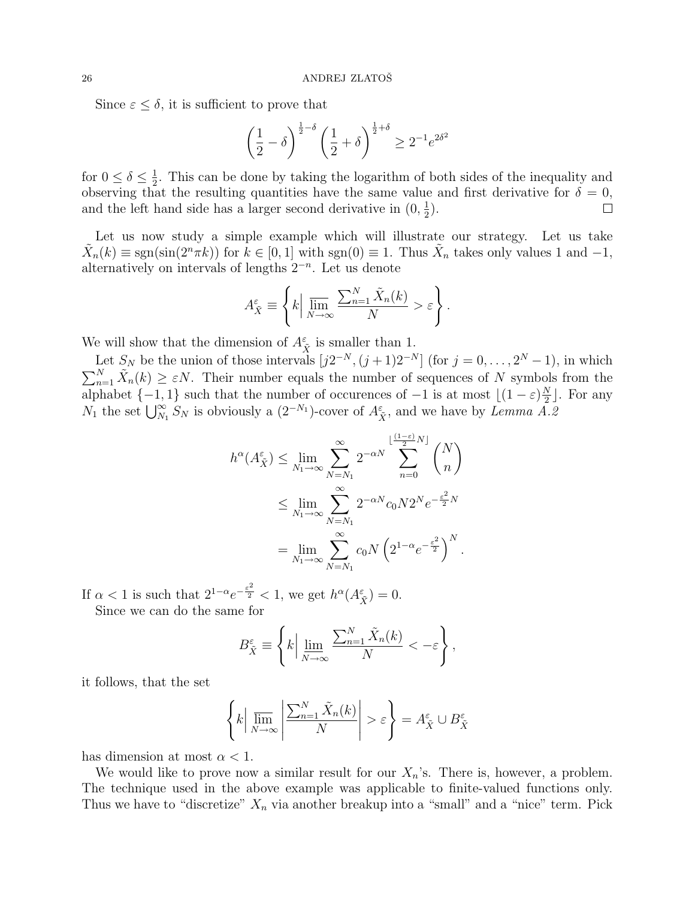Since  $\varepsilon \leq \delta$ , it is sufficient to prove that

$$
\left(\frac{1}{2}-\delta\right)^{\frac{1}{2}-\delta}\left(\frac{1}{2}+\delta\right)^{\frac{1}{2}+\delta}\geq 2^{-1}e^{2\delta^2}
$$

for  $0 \leq \delta \leq \frac{1}{2}$  $\frac{1}{2}$ . This can be done by taking the logarithm of both sides of the inequality and observing that the resulting quantities have the same value and first derivative for  $\delta = 0$ , and the left hand side has a larger second derivative in  $(0, \frac{1}{2})$  $(\frac{1}{2})$ .  $\Box$ 

Let us now study a simple example which will illustrate our strategy. Let us take  $\tilde{X}_n(k) \equiv \text{sgn}(\sin(2^n \pi k))$  for  $k \in [0, 1]$  with  $\text{sgn}(0) \equiv 1$ . Thus  $\tilde{X}_n$  takes only values 1 and  $-1$ , alternatively on intervals of lengths  $2^{-n}$ . Let us denote

$$
A_{\tilde{X}}^{\varepsilon} \equiv \left\{ k \Big| \, \overline{\lim_{N \to \infty}} \, \frac{\sum_{n=1}^{N} \tilde{X}_n(k)}{N} > \varepsilon \right\}.
$$

We will show that the dimension of  $A_{\tilde{X}}^{\varepsilon}$  is smaller than 1.

Let  $S_N$  be the union of those intervals  $[j2^{-N}, (j+1)2^{-N}]$  (for  $j = 0, \ldots, 2^{N} - 1$ ), in which Let  $S_N$  be the union of those intervals  $[1, 2, \ldots, 1]$  of  $[1, 1, 1, 2, \ldots, 2, -1]$ , in which  $\sum_{n=1}^N \tilde{X}_n(k) \geq \varepsilon N$ . Their number equals the number of sequences of N symbols from the alphabet  $\{-1,1\}$  such that the number of occurences of  $-1$  is at most  $\left| (1 - \varepsilon) \frac{N}{2} \right|$  $\frac{N}{2}$ . For any alphabet  $\{-1, 1\}$  such that the number of occurences of  $-1$  is at most  $[(1 - \varepsilon)\frac{1}{2}]$ <br>  $N_1$  the set  $\bigcup_{N_1}^{\infty} S_N$  is obviously a  $(2^{-N_1})$ -cover of  $A_{\tilde{X}}^{\varepsilon}$ , and we have by *Lemma A.2* 

$$
h^{\alpha}(A_{\tilde{X}}^{\varepsilon}) \leq \lim_{N_1 \to \infty} \sum_{N=N_1}^{\infty} 2^{-\alpha N} \sum_{n=0}^{\lfloor \frac{(1-\varepsilon)}{2}N \rfloor} {N \choose n}
$$
  

$$
\leq \lim_{N_1 \to \infty} \sum_{N=N_1}^{\infty} 2^{-\alpha N} c_0 N 2^N e^{-\frac{\varepsilon^2}{2} N}
$$
  

$$
= \lim_{N_1 \to \infty} \sum_{N=N_1}^{\infty} c_0 N \left( 2^{1-\alpha} e^{-\frac{\varepsilon^2}{2}} \right)^N.
$$

If  $\alpha < 1$  is such that  $2^{1-\alpha}e^{-\frac{\varepsilon^2}{2}} < 1$ , we get  $h^{\alpha}(A^{\varepsilon}_{\tilde{X}}) = 0$ . Since we can do the same for

$$
B_{\tilde{X}}^{\varepsilon} \equiv \left\{ k \Big| \lim_{N \to \infty} \frac{\sum_{n=1}^{N} \tilde{X}_n(k)}{N} < -\varepsilon \right\}
$$

,

it follows, that the set

$$
\left\{ k \Big| \overline{\lim}_{N \to \infty} \left| \frac{\sum_{n=1}^{N} \tilde{X}_n(k)}{N} \right| > \varepsilon \right\} = A_{\tilde{X}}^{\varepsilon} \cup B_{\tilde{X}}^{\varepsilon}
$$

has dimension at most  $\alpha < 1$ .

We would like to prove now a similar result for our  $X_n$ 's. There is, however, a problem. The technique used in the above example was applicable to finite-valued functions only. Thus we have to "discretize"  $X_n$  via another breakup into a "small" and a "nice" term. Pick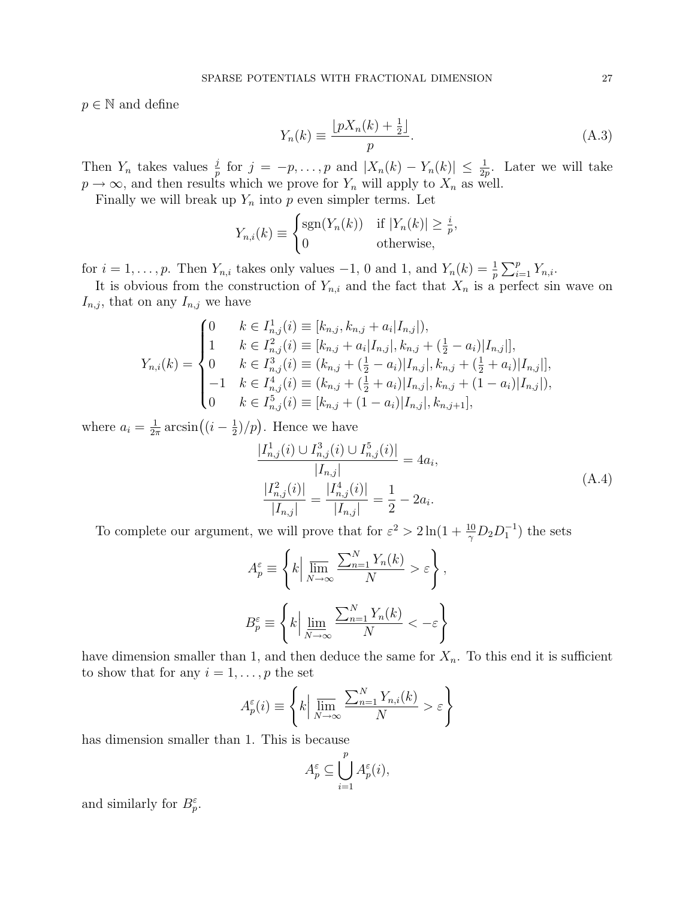$p \in \mathbb{N}$  and define

$$
Y_n(k) \equiv \frac{\lfloor pX_n(k) + \frac{1}{2} \rfloor}{p}.
$$
\n(A.3)

Then  $Y_n$  takes values  $\frac{j}{p}$  for  $j = -p, \ldots, p$  and  $|X_n(k) - Y_n(k)| \leq \frac{1}{2p}$ . Later we will take  $p \to \infty$ , and then results which we prove for  $Y_n$  will apply to  $X_n$  as well.

Finally we will break up  $Y_n$  into p even simpler terms. Let  $\overline{\phantom{a}}$ 

$$
Y_{n,i}(k) \equiv \begin{cases} \text{sgn}(Y_n(k)) & \text{if } |Y_n(k)| \ge \frac{i}{p}, \\ 0 & \text{otherwise,} \end{cases}
$$

for  $i = 1, \ldots, p$ . Then  $Y_{n,i}$  takes only values  $-1$ , 0 and 1, and  $Y_n(k) = \frac{1}{p}$  $\bigtriangledown p$  $_{i=1}^{p} Y_{n,i}.$ 

It is obvious from the construction of  $Y_{n,i}$  and the fact that  $X_n$  is a perfect sin wave on  $I_{n,j}$ , that on any  $I_{n,j}$  we have

$$
Y_{n,i}(k) = \begin{cases} 0 & k \in I_{n,j}^1(i) \equiv [k_{n,j}, k_{n,j} + a_i | I_{n,j}|), \\ 1 & k \in I_{n,j}^2(i) \equiv [k_{n,j} + a_i | I_{n,j}|, k_{n,j} + (\frac{1}{2} - a_i) | I_{n,j}|], \\ 0 & k \in I_{n,j}^3(i) \equiv (k_{n,j} + (\frac{1}{2} - a_i) | I_{n,j}|, k_{n,j} + (\frac{1}{2} + a_i) | I_{n,j}|], \\ -1 & k \in I_{n,j}^4(i) \equiv (k_{n,j} + (\frac{1}{2} + a_i) | I_{n,j}|, k_{n,j} + (1 - a_i) | I_{n,j}|), \\ 0 & k \in I_{n,j}^5(i) \equiv [k_{n,j} + (1 - a_i) | I_{n,j}|, k_{n,j+1}], \end{cases}
$$

where  $a_i = \frac{1}{2i}$  $\frac{1}{2\pi} \arcsin\left((i - \frac{1}{2})\right)$  $\frac{1}{2}$ /*p*). Hence we have

$$
\frac{|I_{n,j}^1(i) \cup I_{n,j}^3(i) \cup I_{n,j}^5(i)|}{|I_{n,j}|} = 4a_i,
$$
\n
$$
\frac{|I_{n,j}^2(i)|}{|I_{n,j}|} = \frac{|I_{n,j}^4(i)|}{|I_{n,j}|} = \frac{1}{2} - 2a_i.
$$
\n(A.4)

To complete our argument, we will prove that for  $\varepsilon^2 > 2\ln(1 + \frac{10}{\gamma}D_2D_1^{-1})$  the sets

$$
A_p^{\varepsilon} \equiv \left\{ k \Big| \overline{\lim}_{N \to \infty} \frac{\sum_{n=1}^N Y_n(k)}{N} > \varepsilon \right\},
$$
  

$$
B_p^{\varepsilon} \equiv \left\{ k \Big| \overline{\lim}_{N \to \infty} \frac{\sum_{n=1}^N Y_n(k)}{N} < -\varepsilon \right\}
$$

have dimension smaller than 1, and then deduce the same for  $X_n$ . To this end it is sufficient to show that for any  $i = 1, \ldots, p$  the set

$$
A_p^{\varepsilon}(i) \equiv \left\{ k \Big| \overline{\lim}_{N \to \infty} \frac{\sum_{n=1}^N Y_{n,i}(k)}{N} > \varepsilon \right\}
$$

has dimension smaller than 1. This is because

$$
A_p^{\varepsilon} \subseteq \bigcup_{i=1}^p A_p^{\varepsilon}(i),
$$

and similarly for  $B_p^{\varepsilon}$ .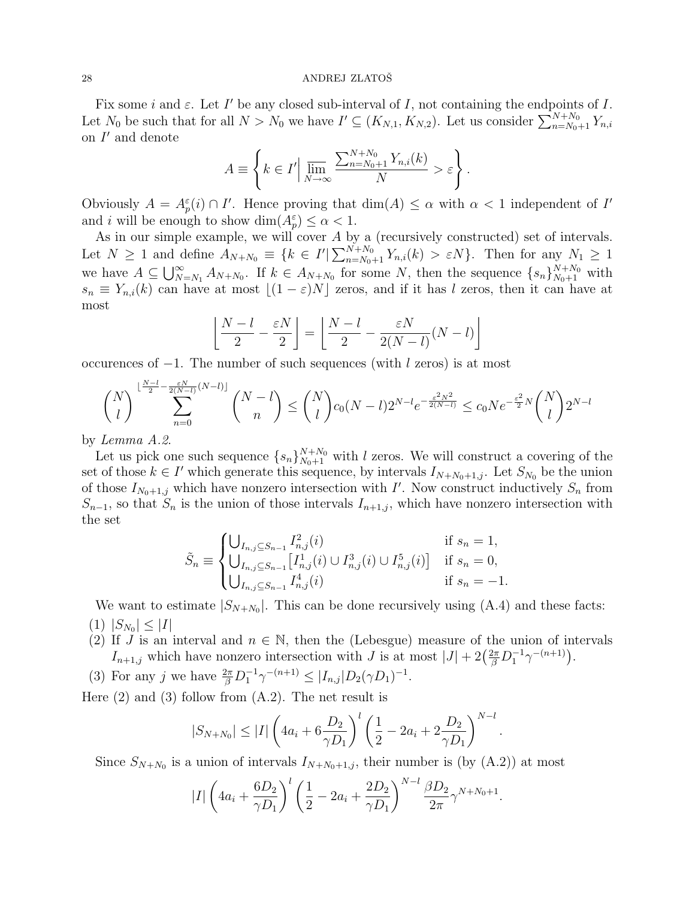Fix some i and  $\varepsilon$ . Let I' be any closed sub-interval of I, not containing the endpoints of I. Fix some *t* and  $\varepsilon$ . Let *I* be any closed sub-interval of *I*, not containing the endpoints of *I*.<br>Let  $N_0$  be such that for all  $N > N_0$  we have  $I' \subseteq (K_{N,1}, K_{N,2})$ . Let us consider  $\sum_{n=N_0+1}^{N+N_0} Y_{n,i}$ on  $I'$  and denote  $\overline{a}$ 

$$
A \equiv \left\{ k \in I' \Big| \overline{\lim_{N \to \infty}} \frac{\sum_{n=N_0+1}^{N+N_0} Y_{n,i}(k)}{N} > \varepsilon \right\}.
$$

Obviously  $A = A_p^{\varepsilon}(i) \cap I'$ . Hence proving that  $\dim(A) \leq \alpha$  with  $\alpha < 1$  independent of I' and i will be enough to show  $\dim(A_p^{\varepsilon}) \leq \alpha < 1$ .

As in our simple example, we will cover  $A$  by a (recursively constructed) set of intervals. As in our simple example, we will cover A by a<br>Let  $N \ge 1$  and define  $A_{N+N_0} \equiv \{k \in I' | \sum_{n=N_0}^{N+N_0}$  $\sum_{n=N_0+1}^{N+N_0} Y_{n,i}(k) > \varepsilon N$ . Then for any  $N_1 \geq 1$  $\text{we have } A \subseteq \bigcup_{N}^{\infty}$  $\sum_{N=N_1}^{\infty} A_{N+N_0}$ . If  $k \in A_{N+N_0}$  for some N, then the sequence  $\{s_n\}_{N_0+1}^{N+N_0}$  with  $s_n \equiv Y_{n,i}(k)$  can have at most  $\lfloor (1 - \varepsilon)N \rfloor$  zeros, and if it has l zeros, then it can have at most l.

$$
\left\lfloor \frac{N-l}{2} - \frac{\varepsilon N}{2} \right\rfloor = \left\lfloor \frac{N-l}{2} - \frac{\varepsilon N}{2(N-l)}(N-l) \right\rfloor
$$

occurences of  $-1$ . The number of such sequences (with l zeros) is at most

$$
\binom{N}{l}^{\lfloor \frac{N-l}{2} - \frac{\varepsilon N}{2(N-l)}(N-l) \rfloor} \binom{N-l}{n} \leq \binom{N}{l} c_0 (N-l) 2^{N-l} e^{-\frac{\varepsilon^2 N^2}{2(N-l)}} \leq c_0 N e^{-\frac{\varepsilon^2}{2} N} \binom{N}{l} 2^{N-l}
$$

by Lemma A.2.

Let us pick one such sequence  $\{s_n\}_{N_0+1}^{N+N_0}$  with l zeros. We will construct a covering of the set of those  $k \in I'$  which generate this sequence, by intervals  $I_{N+N_0+1,j}$ . Let  $S_{N_0}$  be the union of those  $I_{N_0+1,j}$  which have nonzero intersection with I'. Now construct inductively  $S_n$  from  $S_{n-1}$ , so that  $S_n$  is the union of those intervals  $I_{n+1,j}$ , which have nonzero intersection with the set  $\overline{a}$ 

$$
\tilde{S}_n \equiv \begin{cases} \bigcup_{I_{n,j} \subseteq S_{n-1}} I_{n,j}^2(i) & \text{if } s_n = 1, \\ \bigcup_{I_{n,j} \subseteq S_{n-1}} \left[ I_{n,j}^1(i) \cup I_{n,j}^3(i) \cup I_{n,j}^5(i) \right] & \text{if } s_n = 0, \\ \bigcup_{I_{n,j} \subseteq S_{n-1}} I_{n,j}^4(i) & \text{if } s_n = -1. \end{cases}
$$

We want to estimate  $|S_{N+N_0}|$ . This can be done recursively using  $(A.4)$  and these facts:  $(1)$   $|S_{N_0}| \leq |I|$ 

- (2) If J is an interval and  $n \in \mathbb{N}$ , then the (Lebesgue) measure of the union of intervals If J is an interval and  $n \in \mathbb{N}$ , then the (Lebesgue) measure of the union of interval and  $n \in \mathbb{N}$ , then the (Lebesgue) measure of the union of interval  $I_{n+1,j}$  which have nonzero intersection with J is at most
- (3) For any j we have  $\frac{2\pi}{\beta} D_1^{-1} \gamma^{-(n+1)} \leq |I_{n,j}| D_2(\gamma D_1)^{-1}$ .

Here  $(2)$  and  $(3)$  follow from  $(A.2)$ . The net result is

$$
|S_{N+N_0}| \leq |I| \left(4a_i + 6\frac{D_2}{\gamma D_1}\right)^l \left(\frac{1}{2} - 2a_i + 2\frac{D_2}{\gamma D_1}\right)^{N-l}.
$$

Since  $S_{N+N_0}$  is a union of intervals  $I_{N+N_0+1,j}$ , their number is (by  $(A.2)$ ) at most

$$
|I| \left(4a_i + \frac{6D_2}{\gamma D_1}\right)^l \left(\frac{1}{2} - 2a_i + \frac{2D_2}{\gamma D_1}\right)^{N-l} \frac{\beta D_2}{2\pi} \gamma^{N+N_0+1}.
$$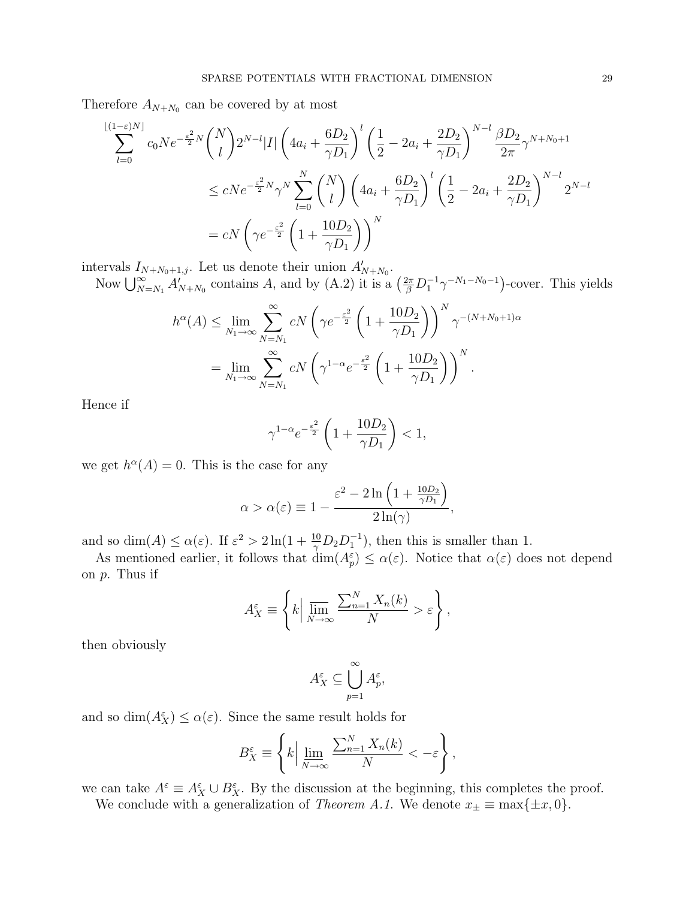Therefore  $A_{N+N_0}$  can be covered by at most

$$
\sum_{l=0}^{\lfloor (1-\varepsilon)N \rfloor} c_0 N e^{-\frac{\varepsilon^2}{2} N} {N \choose l} 2^{N-l} |I| \left( 4a_i + \frac{6D_2}{\gamma D_1} \right)^l \left( \frac{1}{2} - 2a_i + \frac{2D_2}{\gamma D_1} \right)^{N-l} \frac{\beta D_2}{2\pi} \gamma^{N+N_0+1}
$$
  

$$
\le cNe^{-\frac{\varepsilon^2}{2} N} \gamma^N \sum_{l=0}^N {N \choose l} \left( 4a_i + \frac{6D_2}{\gamma D_1} \right)^l \left( \frac{1}{2} - 2a_i + \frac{2D_2}{\gamma D_1} \right)^{N-l} 2^{N-l}
$$
  

$$
= cN \left( \gamma e^{-\frac{\varepsilon^2}{2}} \left( 1 + \frac{10D_2}{\gamma D_1} \right) \right)^N
$$

intervals  $I_{N+N_0+1,j}$ . Let us denote their union  $A'_{N+N_0}$ .

Now  $\bigcup_{N=N_1}^{\infty} A'_{N+N_0}$  contains A, and by (A.2) it is a  $\left(\frac{2\pi}{\beta}D_1^{-1}\gamma^{-N_1-N_0-1}\right)$ -cover. This yields

$$
h^{\alpha}(A) \le \lim_{N_1 \to \infty} \sum_{N=N_1}^{\infty} cN \left(\gamma e^{-\frac{\varepsilon^2}{2}} \left(1 + \frac{10D_2}{\gamma D_1}\right)\right)^N \gamma^{-(N+N_0+1)\alpha}
$$
  
= 
$$
\lim_{N_1 \to \infty} \sum_{N=N_1}^{\infty} cN \left(\gamma^{1-\alpha} e^{-\frac{\varepsilon^2}{2}} \left(1 + \frac{10D_2}{\gamma D_1}\right)\right)^N.
$$

Hence if

$$
\gamma^{1-\alpha} e^{-\frac{\varepsilon^2}{2}} \left( 1 + \frac{10D_2}{\gamma D_1} \right) < 1,
$$

we get  $h^{\alpha}(A) = 0$ . This is the case for any

$$
\alpha > \alpha(\varepsilon) \equiv 1 - \frac{\varepsilon^2 - 2\ln\left(1 + \frac{10D_2}{\gamma D_1}\right)}{2\ln(\gamma)},
$$

and so  $\dim(A) \le \alpha(\varepsilon)$ . If  $\varepsilon^2 > 2\ln(1+\frac{10}{\gamma}D_2D_1^{-1})$ , then this is smaller than 1.

As mentioned earlier, it follows that  $\dim(A_p^{\varepsilon}) \leq \alpha(\varepsilon)$ . Notice that  $\alpha(\varepsilon)$  does not depend on p. Thus if  $\overline{a}$ 

$$
A_X^{\varepsilon} \equiv \left\{ k \Big| \overline{\lim}_{N \to \infty} \frac{\sum_{n=1}^N X_n(k)}{N} > \varepsilon \right\},\,
$$

then obviously

$$
A_X^\varepsilon\subseteq \bigcup_{p=1}^\infty A_p^\varepsilon,
$$

and so  $\dim(A_X^{\varepsilon}) \leq \alpha(\varepsilon)$ . Since the same result holds for

$$
B_X^\varepsilon \equiv \left\{k \Big| \, \varliminf_{N \to \infty} \frac{\sum_{n=1}^N X_n(k)}{N} < -\varepsilon \right\},
$$

we can take  $A^{\varepsilon} \equiv A_X^{\varepsilon} \cup B_X^{\varepsilon}$ . By the discussion at the beginning, this completes the proof.

We conclude with a generalization of *Theorem A.1*. We denote  $x_{\pm} \equiv \max\{\pm x, 0\}.$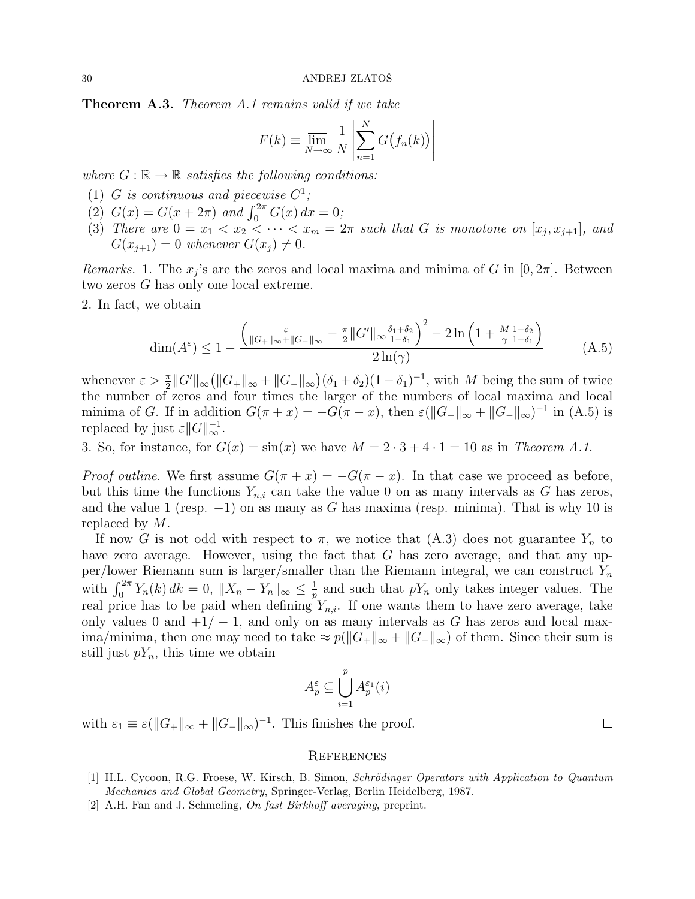**Theorem A.3.** Theorem A.1 remains valid if we take

$$
F(k) \equiv \overline{\lim}_{N \to \infty} \frac{1}{N} \left| \sum_{n=1}^{N} G(f_n(k)) \right|
$$

where  $G : \mathbb{R} \to \mathbb{R}$  satisfies the following conditions:

- (1) G is continuous and piecewise  $C^1$ ;
- (1) G is continuous and piecewise C,<br>
(2)  $G(x) = G(x + 2\pi)$  and  $\int_0^{2\pi} G(x) dx = 0$ ;
- (3) There are  $0 = x_1 < x_2 < \cdots < x_m = 2\pi$  such that G is monotone on  $[x_j, x_{j+1}]$ , and  $G(x_{i+1}) = 0$  whenever  $G(x_i) \neq 0$ .

*Remarks.* 1. The  $x_j$ 's are the zeros and local maxima and minima of G in  $[0, 2\pi]$ . Between two zeros G has only one local extreme.

2. In fact, we obtain

$$
\dim(A^{\varepsilon}) \le 1 - \frac{\left(\frac{\varepsilon}{\|G_{+}\|_{\infty} + \|G_{-}\|_{\infty}} - \frac{\pi}{2} \|G'\|_{\infty} \frac{\delta_{1} + \delta_{2}}{1 - \delta_{1}}\right)^{2} - 2\ln\left(1 + \frac{M}{\gamma} \frac{1 + \delta_{2}}{1 - \delta_{1}}\right)}{2\ln(\gamma)}
$$
(A.5)

whenever  $\varepsilon > \frac{\pi}{2} ||G'||_{\infty}$ ¡  $||G_+||_{\infty} + ||G_-||_{\infty}$ ¢  $(\delta_1 + \delta_2)(1 - \delta_1)^{-1}$ , with M being the sum of twice the number of zeros and four times the larger of the numbers of local maxima and local minima of G. If in addition  $G(\pi + x) = -G(\pi - x)$ , then  $\varepsilon(||G_+||_{\infty} + ||G_-||_{\infty})^{-1}$  in (A.5) is replaced by just  $\varepsilon ||G||_{\infty}^{-1}$ .

3. So, for instance, for  $G(x) = \sin(x)$  we have  $M = 2 \cdot 3 + 4 \cdot 1 = 10$  as in Theorem A.1.

*Proof outline.* We first assume  $G(\pi + x) = -G(\pi - x)$ . In that case we proceed as before, but this time the functions  $Y_{n,i}$  can take the value 0 on as many intervals as G has zeros, and the value 1 (resp.  $-1$ ) on as many as G has maxima (resp. minima). That is why 10 is replaced by M.

If now G is not odd with respect to  $\pi$ , we notice that (A.3) does not guarantee  $Y_n$  to have zero average. However, using the fact that G has zero average, and that any upper/lower Riemann sum is larger/smaller than the Riemann integral, we can construct  $Y_n$ per/fower Tuentann sum is farger/smaller<br>with  $\int_0^{2\pi} Y_n(k) dk = 0$ ,  $||X_n - Y_n||_{\infty} \le \frac{1}{p}$  $\frac{1}{p}$  and such that  $pY_n$  only takes integer values. The real price has to be paid when defining  $Y_{n,i}$ . If one wants them to have zero average, take only values 0 and  $+1/-1$ , and only on as many intervals as G has zeros and local maxima/minima, then one may need to take  $\approx p(||G_+||_{\infty} + ||G_-||_{\infty})$  of them. Since their sum is still just  $pY_n$ , this time we obtain

$$
A_p^\varepsilon\subseteq\bigcup_{i=1}^pA_p^{\varepsilon_1}(i)
$$

with  $\varepsilon_1 \equiv \varepsilon (||G_+||_{\infty} + ||G_-||_{\infty})^{-1}$ . This finishes the proof.

#### **REFERENCES**

- [1] H.L. Cycoon, R.G. Froese, W. Kirsch, B. Simon, Schrödinger Operators with Application to Quantum Mechanics and Global Geometry, Springer-Verlag, Berlin Heidelberg, 1987.
- [2] A.H. Fan and J. Schmeling, On fast Birkhoff averaging, preprint.

 $\Box$